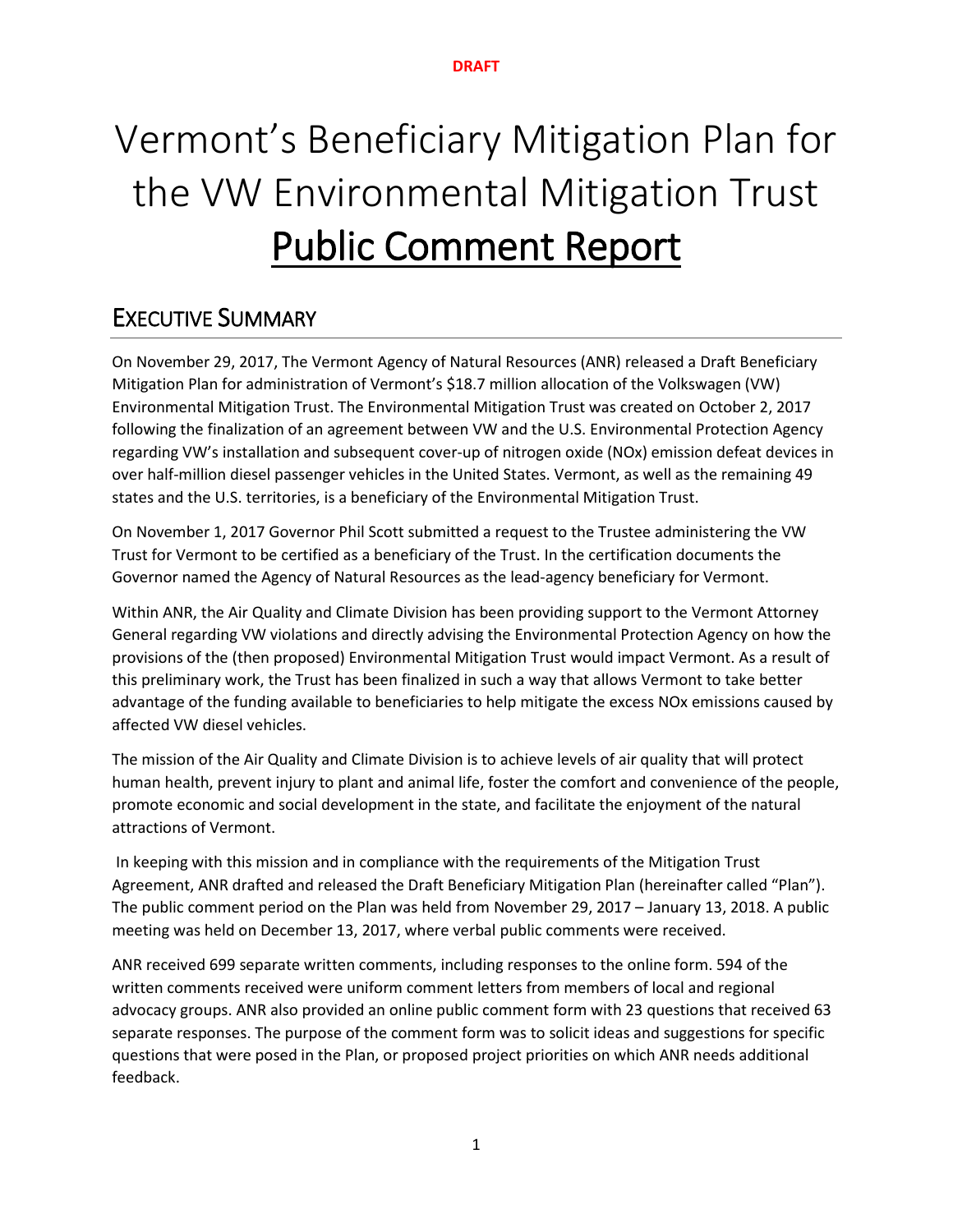# Vermont's Beneficiary Mitigation Plan for the VW Environmental Mitigation Trust Public Comment Report

# EXECUTIVE SUMMARY

On November 29, 2017, The Vermont Agency of Natural Resources (ANR) released a Draft Beneficiary Mitigation Plan for administration of Vermont's \$18.7 million allocation of the Volkswagen (VW) Environmental Mitigation Trust. The Environmental Mitigation Trust was created on October 2, 2017 following the finalization of an agreement between VW and the U.S. Environmental Protection Agency regarding VW's installation and subsequent cover-up of nitrogen oxide (NOx) emission defeat devices in over half-million diesel passenger vehicles in the United States. Vermont, as well as the remaining 49 states and the U.S. territories, is a beneficiary of the Environmental Mitigation Trust.

On November 1, 2017 Governor Phil Scott submitted a request to the Trustee administering the VW Trust for Vermont to be certified as a beneficiary of the Trust. In the certification documents the Governor named the Agency of Natural Resources as the lead-agency beneficiary for Vermont.

Within ANR, the Air Quality and Climate Division has been providing support to the Vermont Attorney General regarding VW violations and directly advising the Environmental Protection Agency on how the provisions of the (then proposed) Environmental Mitigation Trust would impact Vermont. As a result of this preliminary work, the Trust has been finalized in such a way that allows Vermont to take better advantage of the funding available to beneficiaries to help mitigate the excess NOx emissions caused by affected VW diesel vehicles.

The mission of the Air Quality and Climate Division is to achieve levels of air quality that will protect human health, prevent injury to plant and animal life, foster the comfort and convenience of the people, promote economic and social development in the state, and facilitate the enjoyment of the natural attractions of Vermont.

In keeping with this mission and in compliance with the requirements of the Mitigation Trust Agreement, ANR drafted and released the Draft Beneficiary Mitigation Plan (hereinafter called "Plan"). The public comment period on the Plan was held from November 29, 2017 – January 13, 2018. A public meeting was held on December 13, 2017, where verbal public comments were received.

ANR received 699 separate written comments, including responses to the online form. 594 of the written comments received were uniform comment letters from members of local and regional advocacy groups. ANR also provided an online public comment form with 23 questions that received 63 separate responses. The purpose of the comment form was to solicit ideas and suggestions for specific questions that were posed in the Plan, or proposed project priorities on which ANR needs additional feedback.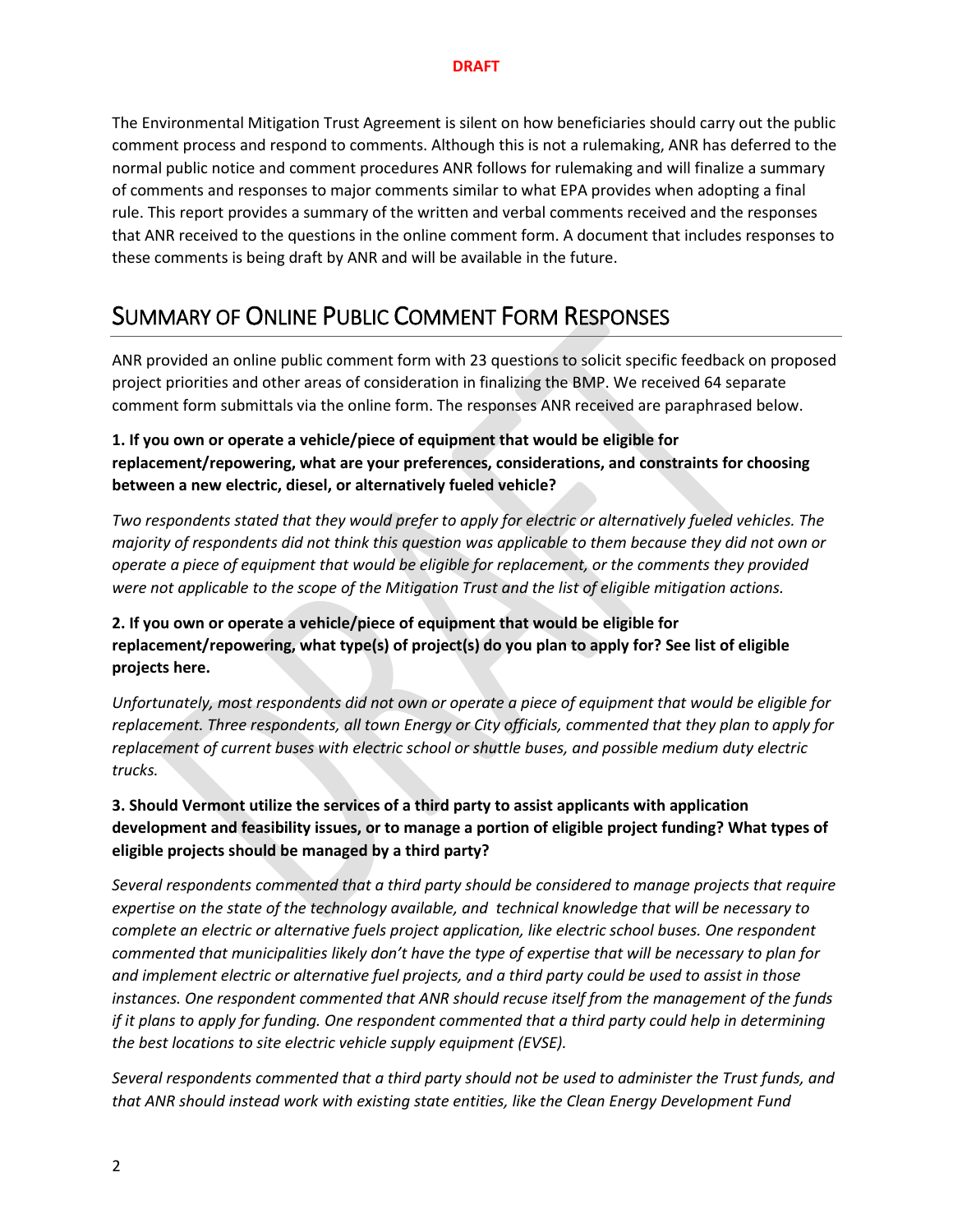The Environmental Mitigation Trust Agreement is silent on how beneficiaries should carry out the public comment process and respond to comments. Although this is not a rulemaking, ANR has deferred to the normal public notice and comment procedures ANR follows for rulemaking and will finalize a summary of comments and responses to major comments similar to what EPA provides when adopting a final rule. This report provides a summary of the written and verbal comments received and the responses that ANR received to the questions in the online comment form. A document that includes responses to these comments is being draft by ANR and will be available in the future.

# SUMMARY OF ONLINE PUBLIC COMMENT FORM RESPONSES

ANR provided an online public comment form with 23 questions to solicit specific feedback on proposed project priorities and other areas of consideration in finalizing the BMP. We received 64 separate comment form submittals via the online form. The responses ANR received are paraphrased below.

## **1. If you own or operate a vehicle/piece of equipment that would be eligible for replacement/repowering, what are your preferences, considerations, and constraints for choosing between a new electric, diesel, or alternatively fueled vehicle?**

*Two respondents stated that they would prefer to apply for electric or alternatively fueled vehicles. The majority of respondents did not think this question was applicable to them because they did not own or operate a piece of equipment that would be eligible for replacement, or the comments they provided were not applicable to the scope of the Mitigation Trust and the list of eligible mitigation actions.*

## **2. If you own or operate a vehicle/piece of equipment that would be eligible for replacement/repowering, what type(s) of project(s) do you plan to apply for? See list of eligible projects here.**

*Unfortunately, most respondents did not own or operate a piece of equipment that would be eligible for replacement. Three respondents, all town Energy or City officials, commented that they plan to apply for replacement of current buses with electric school or shuttle buses, and possible medium duty electric trucks.* 

## **3. Should Vermont utilize the services of a third party to assist applicants with application development and feasibility issues, or to manage a portion of eligible project funding? What types of eligible projects should be managed by a third party?**

*Several respondents commented that a third party should be considered to manage projects that require expertise on the state of the technology available, and technical knowledge that will be necessary to complete an electric or alternative fuels project application, like electric school buses. One respondent commented that municipalities likely don't have the type of expertise that will be necessary to plan for and implement electric or alternative fuel projects, and a third party could be used to assist in those instances. One respondent commented that ANR should recuse itself from the management of the funds if it plans to apply for funding. One respondent commented that a third party could help in determining the best locations to site electric vehicle supply equipment (EVSE).* 

*Several respondents commented that a third party should not be used to administer the Trust funds, and that ANR should instead work with existing state entities, like the Clean Energy Development Fund*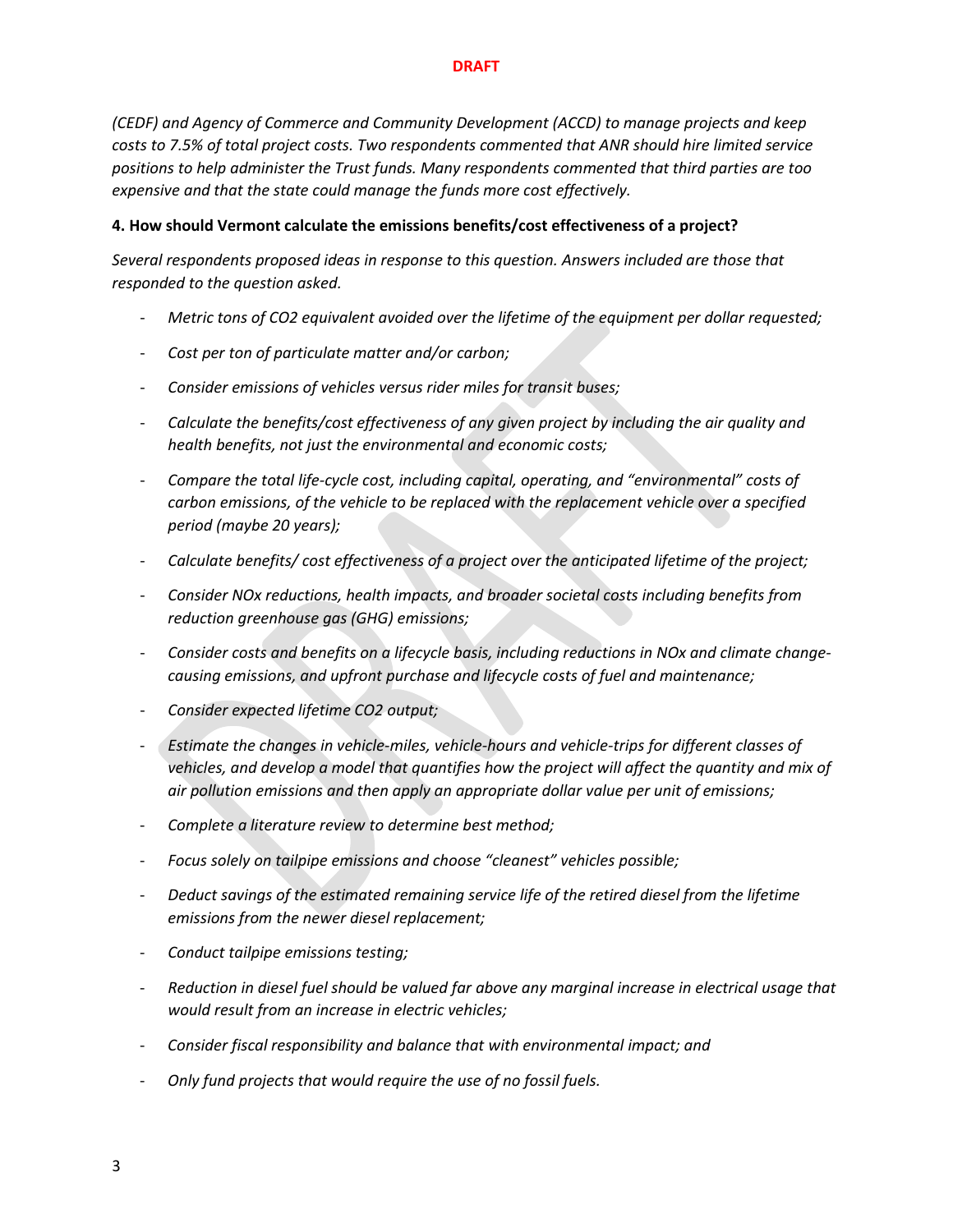*(CEDF) and Agency of Commerce and Community Development (ACCD) to manage projects and keep costs to 7.5% of total project costs. Two respondents commented that ANR should hire limited service positions to help administer the Trust funds. Many respondents commented that third parties are too expensive and that the state could manage the funds more cost effectively.*

#### **4. How should Vermont calculate the emissions benefits/cost effectiveness of a project?**

*Several respondents proposed ideas in response to this question. Answers included are those that responded to the question asked.*

- *Metric tons of CO2 equivalent avoided over the lifetime of the equipment per dollar requested;*
- *Cost per ton of particulate matter and/or carbon;*
- *Consider emissions of vehicles versus rider miles for transit buses;*
- *Calculate the benefits/cost effectiveness of any given project by including the air quality and health benefits, not just the environmental and economic costs;*
- *Compare the total life-cycle cost, including capital, operating, and "environmental" costs of carbon emissions, of the vehicle to be replaced with the replacement vehicle over a specified period (maybe 20 years);*
- *Calculate benefits/ cost effectiveness of a project over the anticipated lifetime of the project;*
- *Consider NOx reductions, health impacts, and broader societal costs including benefits from reduction greenhouse gas (GHG) emissions;*
- *Consider costs and benefits on a lifecycle basis, including reductions in NOx and climate changecausing emissions, and upfront purchase and lifecycle costs of fuel and maintenance;*
- *Consider expected lifetime CO2 output;*
- *Estimate the changes in vehicle-miles, vehicle-hours and vehicle-trips for different classes of*  vehicles, and develop a model that quantifies how the project will affect the quantity and mix of *air pollution emissions and then apply an appropriate dollar value per unit of emissions;*
- *Complete a literature review to determine best method;*
- *Focus solely on tailpipe emissions and choose "cleanest" vehicles possible;*
- *Deduct savings of the estimated remaining service life of the retired diesel from the lifetime emissions from the newer diesel replacement;*
- *Conduct tailpipe emissions testing;*
- *Reduction in diesel fuel should be valued far above any marginal increase in electrical usage that would result from an increase in electric vehicles;*
- *Consider fiscal responsibility and balance that with environmental impact; and*
- *Only fund projects that would require the use of no fossil fuels.*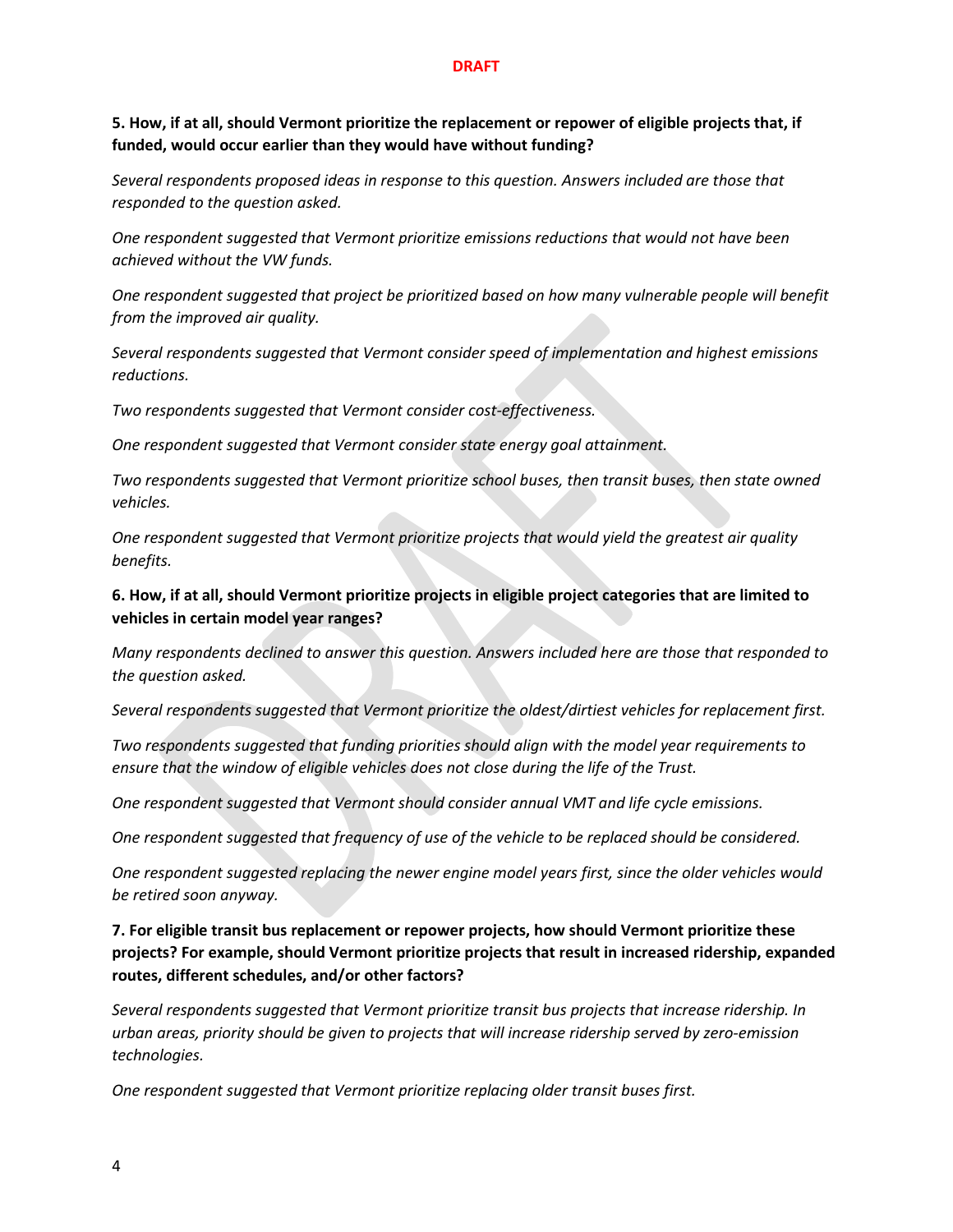#### **5. How, if at all, should Vermont prioritize the replacement or repower of eligible projects that, if funded, would occur earlier than they would have without funding?**

*Several respondents proposed ideas in response to this question. Answers included are those that responded to the question asked.*

*One respondent suggested that Vermont prioritize emissions reductions that would not have been achieved without the VW funds.*

*One respondent suggested that project be prioritized based on how many vulnerable people will benefit from the improved air quality.*

*Several respondents suggested that Vermont consider speed of implementation and highest emissions reductions.*

*Two respondents suggested that Vermont consider cost-effectiveness.*

*One respondent suggested that Vermont consider state energy goal attainment.*

*Two respondents suggested that Vermont prioritize school buses, then transit buses, then state owned vehicles.*

*One respondent suggested that Vermont prioritize projects that would yield the greatest air quality benefits.*

### **6. How, if at all, should Vermont prioritize projects in eligible project categories that are limited to vehicles in certain model year ranges?**

*Many respondents declined to answer this question. Answers included here are those that responded to the question asked.*

*Several respondents suggested that Vermont prioritize the oldest/dirtiest vehicles for replacement first.*

*Two respondents suggested that funding priorities should align with the model year requirements to ensure that the window of eligible vehicles does not close during the life of the Trust.*

*One respondent suggested that Vermont should consider annual VMT and life cycle emissions.*

*One respondent suggested that frequency of use of the vehicle to be replaced should be considered.*

*One respondent suggested replacing the newer engine model years first, since the older vehicles would be retired soon anyway.*

## **7. For eligible transit bus replacement or repower projects, how should Vermont prioritize these projects? For example, should Vermont prioritize projects that result in increased ridership, expanded routes, different schedules, and/or other factors?**

*Several respondents suggested that Vermont prioritize transit bus projects that increase ridership. In urban areas, priority should be given to projects that will increase ridership served by zero-emission technologies.*

*One respondent suggested that Vermont prioritize replacing older transit buses first.*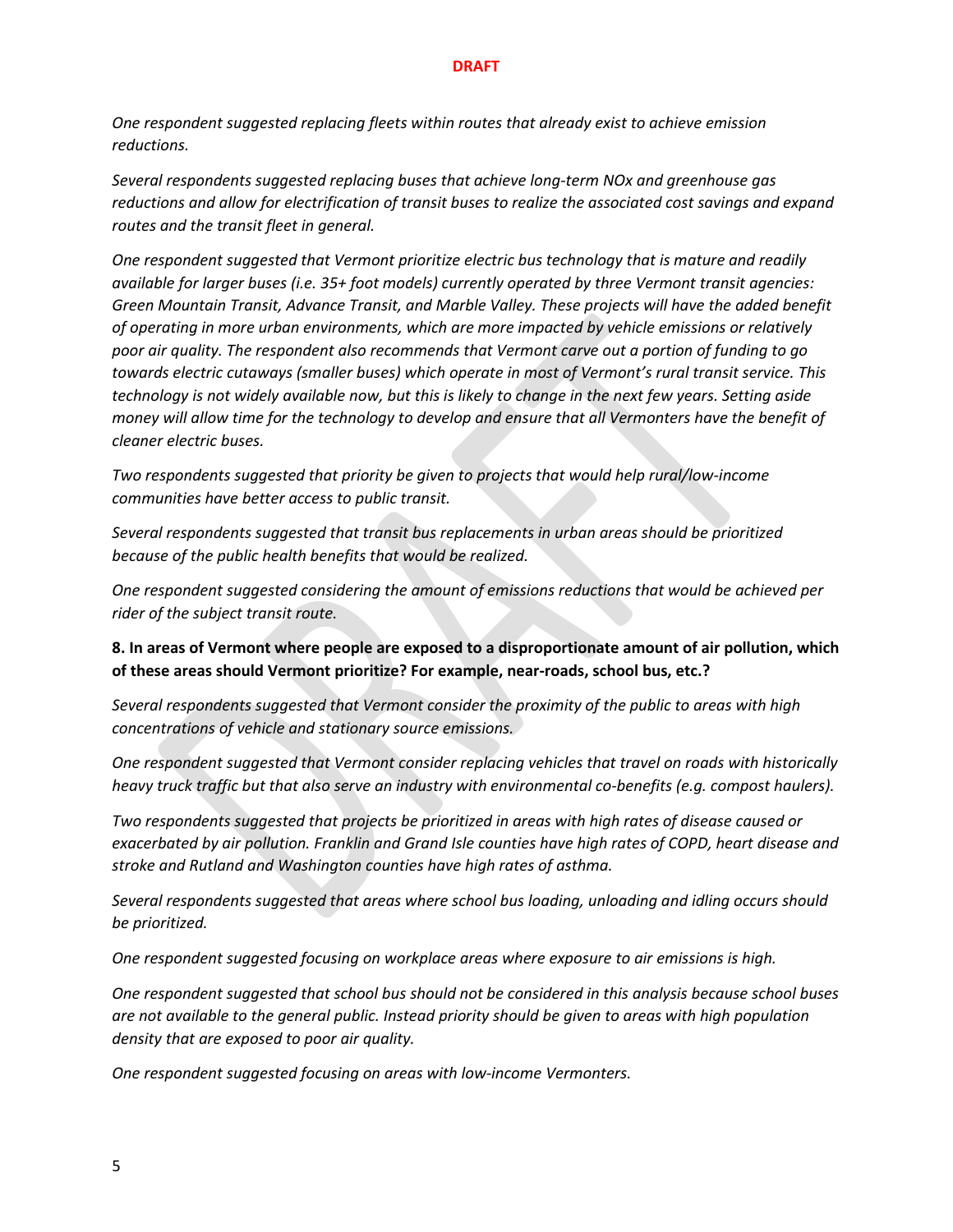*One respondent suggested replacing fleets within routes that already exist to achieve emission reductions.*

*Several respondents suggested replacing buses that achieve long-term NOx and greenhouse gas reductions and allow for electrification of transit buses to realize the associated cost savings and expand routes and the transit fleet in general.*

*One respondent suggested that Vermont prioritize electric bus technology that is mature and readily available for larger buses (i.e. 35+ foot models) currently operated by three Vermont transit agencies: Green Mountain Transit, Advance Transit, and Marble Valley. These projects will have the added benefit of operating in more urban environments, which are more impacted by vehicle emissions or relatively poor air quality. The respondent also recommends that Vermont carve out a portion of funding to go towards electric cutaways (smaller buses) which operate in most of Vermont's rural transit service. This technology is not widely available now, but this is likely to change in the next few years. Setting aside money will allow time for the technology to develop and ensure that all Vermonters have the benefit of cleaner electric buses.*

*Two respondents suggested that priority be given to projects that would help rural/low-income communities have better access to public transit.*

*Several respondents suggested that transit bus replacements in urban areas should be prioritized because of the public health benefits that would be realized.* 

*One respondent suggested considering the amount of emissions reductions that would be achieved per rider of the subject transit route.*

**8. In areas of Vermont where people are exposed to a disproportionate amount of air pollution, which of these areas should Vermont prioritize? For example, near-roads, school bus, etc.?**

*Several respondents suggested that Vermont consider the proximity of the public to areas with high concentrations of vehicle and stationary source emissions.*

*One respondent suggested that Vermont consider replacing vehicles that travel on roads with historically heavy truck traffic but that also serve an industry with environmental co-benefits (e.g. compost haulers).*

*Two respondents suggested that projects be prioritized in areas with high rates of disease caused or exacerbated by air pollution. Franklin and Grand Isle counties have high rates of COPD, heart disease and stroke and Rutland and Washington counties have high rates of asthma.*

*Several respondents suggested that areas where school bus loading, unloading and idling occurs should be prioritized.* 

*One respondent suggested focusing on workplace areas where exposure to air emissions is high.*

*One respondent suggested that school bus should not be considered in this analysis because school buses are not available to the general public. Instead priority should be given to areas with high population density that are exposed to poor air quality.*

*One respondent suggested focusing on areas with low-income Vermonters.*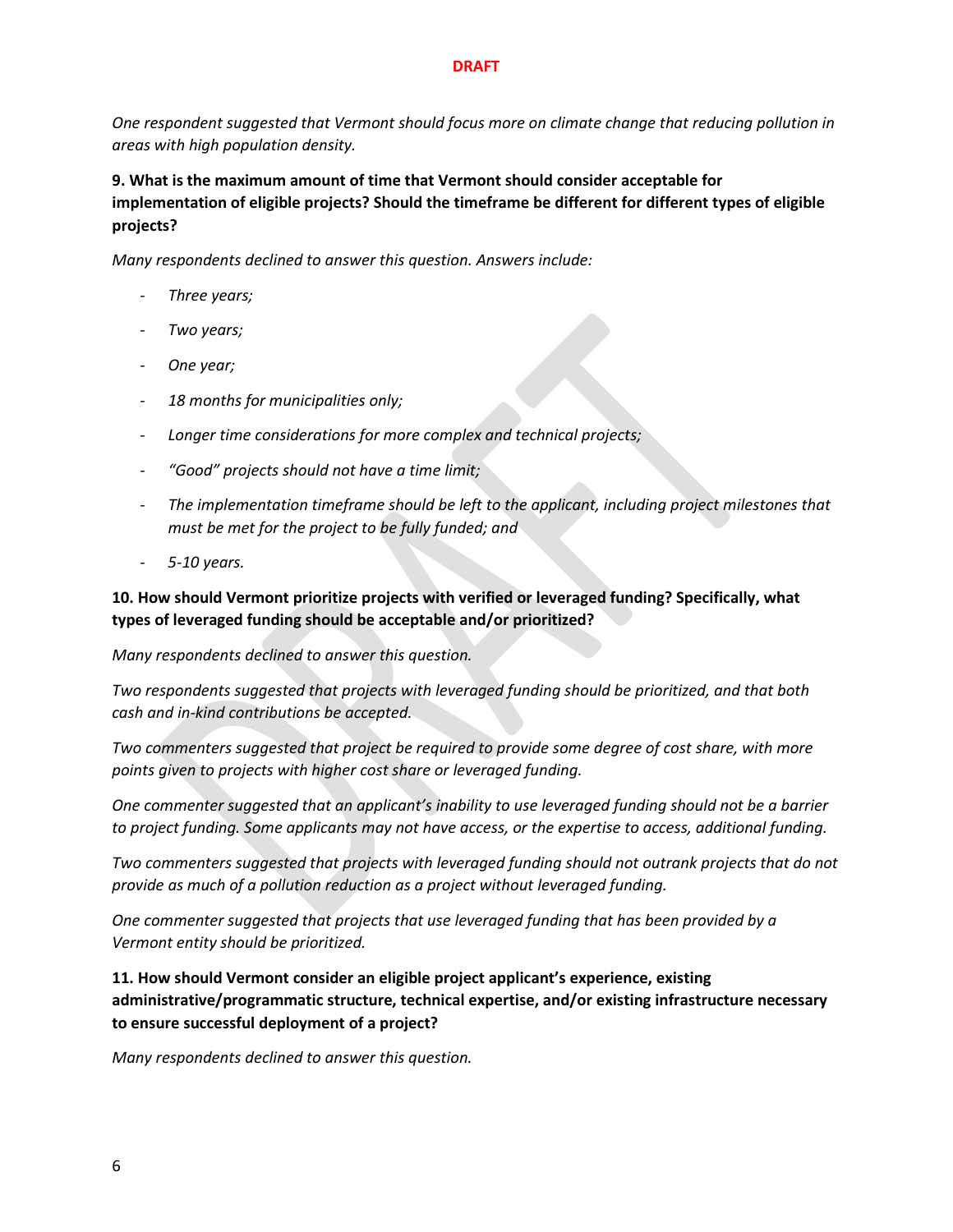*One respondent suggested that Vermont should focus more on climate change that reducing pollution in areas with high population density.*

**9. What is the maximum amount of time that Vermont should consider acceptable for implementation of eligible projects? Should the timeframe be different for different types of eligible projects?**

*Many respondents declined to answer this question. Answers include:*

- *Three years;*
- *Two years;*
- *One year;*
- *18 months for municipalities only;*
- *Longer time considerations for more complex and technical projects;*
- *"Good" projects should not have a time limit;*
- The implementation timeframe should be left to the applicant, including project milestones that *must be met for the project to be fully funded; and*
- *5-10 years.*

### **10. How should Vermont prioritize projects with verified or leveraged funding? Specifically, what types of leveraged funding should be acceptable and/or prioritized?**

*Many respondents declined to answer this question.*

*Two respondents suggested that projects with leveraged funding should be prioritized, and that both cash and in-kind contributions be accepted.*

*Two commenters suggested that project be required to provide some degree of cost share, with more points given to projects with higher cost share or leveraged funding.*

*One commenter suggested that an applicant's inability to use leveraged funding should not be a barrier to project funding. Some applicants may not have access, or the expertise to access, additional funding.*

*Two commenters suggested that projects with leveraged funding should not outrank projects that do not provide as much of a pollution reduction as a project without leveraged funding.*

*One commenter suggested that projects that use leveraged funding that has been provided by a Vermont entity should be prioritized.*

**11. How should Vermont consider an eligible project applicant's experience, existing administrative/programmatic structure, technical expertise, and/or existing infrastructure necessary to ensure successful deployment of a project?**

*Many respondents declined to answer this question.*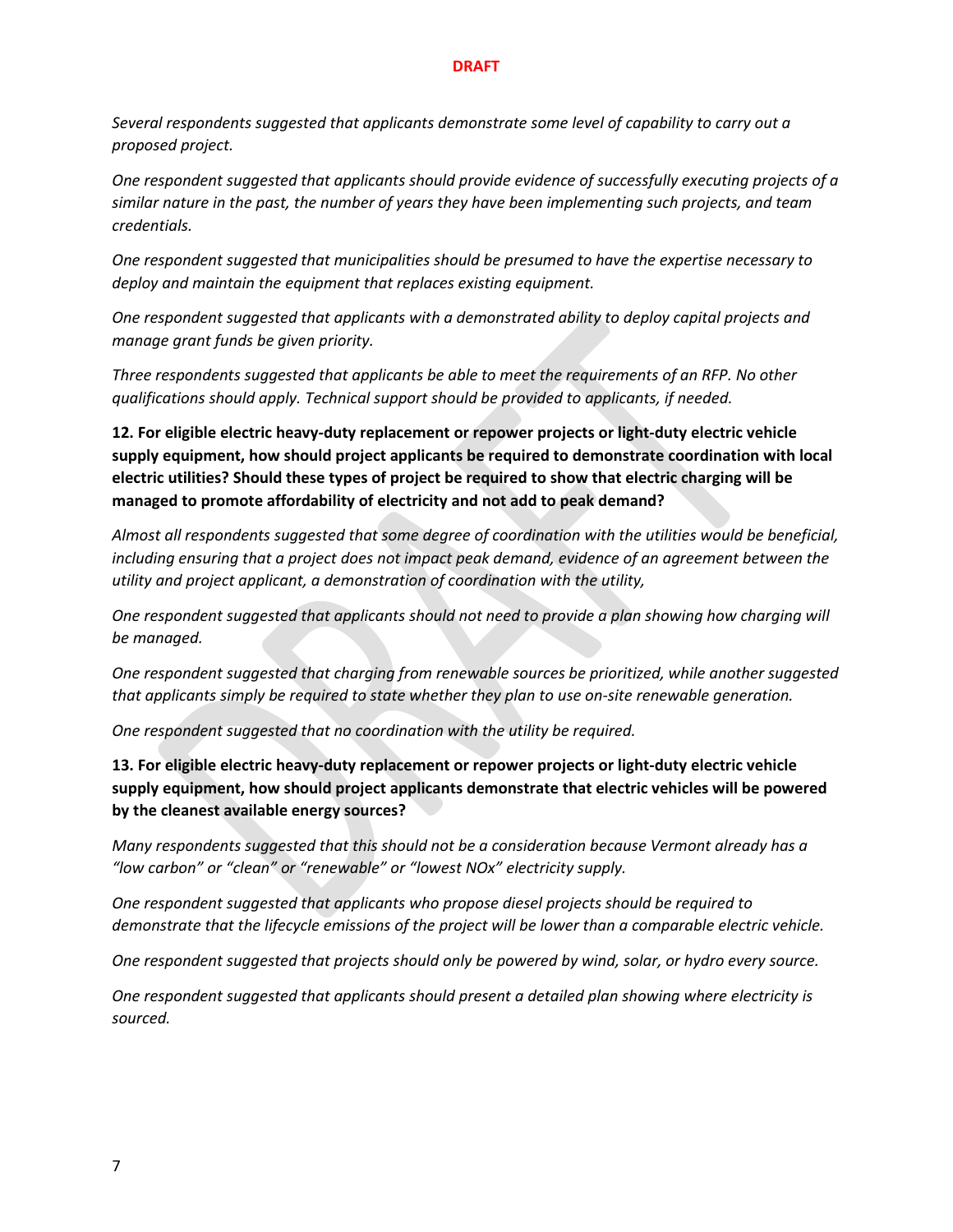*Several respondents suggested that applicants demonstrate some level of capability to carry out a proposed project.*

*One respondent suggested that applicants should provide evidence of successfully executing projects of a similar nature in the past, the number of years they have been implementing such projects, and team credentials.*

*One respondent suggested that municipalities should be presumed to have the expertise necessary to deploy and maintain the equipment that replaces existing equipment.*

*One respondent suggested that applicants with a demonstrated ability to deploy capital projects and manage grant funds be given priority.*

*Three respondents suggested that applicants be able to meet the requirements of an RFP. No other qualifications should apply. Technical support should be provided to applicants, if needed.*

**12. For eligible electric heavy-duty replacement or repower projects or light-duty electric vehicle supply equipment, how should project applicants be required to demonstrate coordination with local electric utilities? Should these types of project be required to show that electric charging will be managed to promote affordability of electricity and not add to peak demand?**

*Almost all respondents suggested that some degree of coordination with the utilities would be beneficial, including ensuring that a project does not impact peak demand, evidence of an agreement between the utility and project applicant, a demonstration of coordination with the utility,* 

*One respondent suggested that applicants should not need to provide a plan showing how charging will be managed.*

*One respondent suggested that charging from renewable sources be prioritized, while another suggested that applicants simply be required to state whether they plan to use on-site renewable generation.*

*One respondent suggested that no coordination with the utility be required.*

**13. For eligible electric heavy-duty replacement or repower projects or light-duty electric vehicle supply equipment, how should project applicants demonstrate that electric vehicles will be powered by the cleanest available energy sources?**

*Many respondents suggested that this should not be a consideration because Vermont already has a "low carbon" or "clean" or "renewable" or "lowest NOx" electricity supply.* 

*One respondent suggested that applicants who propose diesel projects should be required to demonstrate that the lifecycle emissions of the project will be lower than a comparable electric vehicle.*

*One respondent suggested that projects should only be powered by wind, solar, or hydro every source.*

*One respondent suggested that applicants should present a detailed plan showing where electricity is sourced.*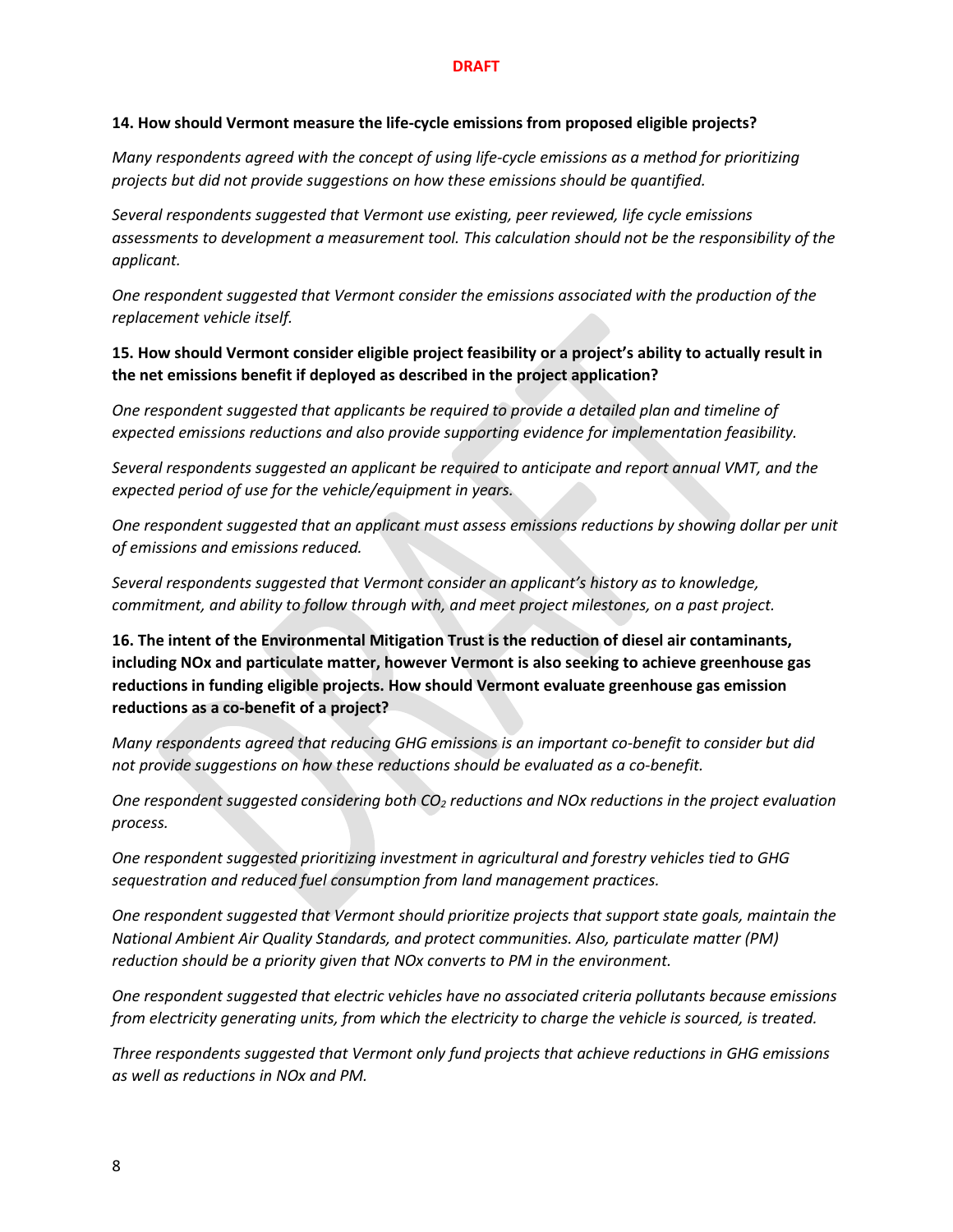#### **14. How should Vermont measure the life-cycle emissions from proposed eligible projects?**

*Many respondents agreed with the concept of using life-cycle emissions as a method for prioritizing projects but did not provide suggestions on how these emissions should be quantified.*

*Several respondents suggested that Vermont use existing, peer reviewed, life cycle emissions assessments to development a measurement tool. This calculation should not be the responsibility of the applicant.*

*One respondent suggested that Vermont consider the emissions associated with the production of the replacement vehicle itself.*

#### **15. How should Vermont consider eligible project feasibility or a project's ability to actually result in the net emissions benefit if deployed as described in the project application?**

*One respondent suggested that applicants be required to provide a detailed plan and timeline of expected emissions reductions and also provide supporting evidence for implementation feasibility.*

*Several respondents suggested an applicant be required to anticipate and report annual VMT, and the expected period of use for the vehicle/equipment in years.*

*One respondent suggested that an applicant must assess emissions reductions by showing dollar per unit of emissions and emissions reduced.*

*Several respondents suggested that Vermont consider an applicant's history as to knowledge, commitment, and ability to follow through with, and meet project milestones, on a past project.*

**16. The intent of the Environmental Mitigation Trust is the reduction of diesel air contaminants, including NOx and particulate matter, however Vermont is also seeking to achieve greenhouse gas reductions in funding eligible projects. How should Vermont evaluate greenhouse gas emission reductions as a co-benefit of a project?**

*Many respondents agreed that reducing GHG emissions is an important co-benefit to consider but did not provide suggestions on how these reductions should be evaluated as a co-benefit.*

*One respondent suggested considering both CO2 reductions and NOx reductions in the project evaluation process.* 

*One respondent suggested prioritizing investment in agricultural and forestry vehicles tied to GHG sequestration and reduced fuel consumption from land management practices.*

*One respondent suggested that Vermont should prioritize projects that support state goals, maintain the National Ambient Air Quality Standards, and protect communities. Also, particulate matter (PM) reduction should be a priority given that NOx converts to PM in the environment.* 

*One respondent suggested that electric vehicles have no associated criteria pollutants because emissions from electricity generating units, from which the electricity to charge the vehicle is sourced, is treated.* 

*Three respondents suggested that Vermont only fund projects that achieve reductions in GHG emissions as well as reductions in NOx and PM.*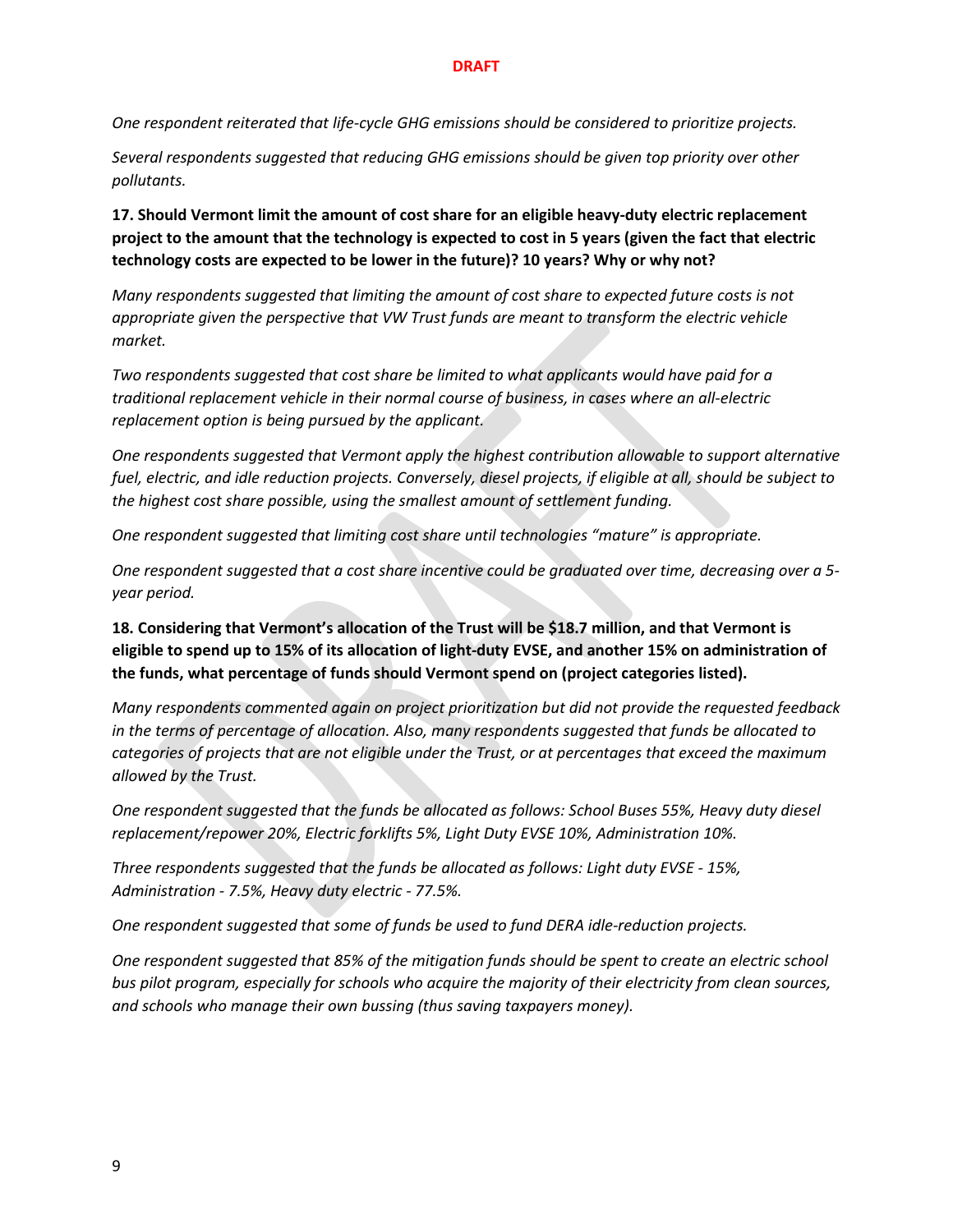*One respondent reiterated that life-cycle GHG emissions should be considered to prioritize projects.*

*Several respondents suggested that reducing GHG emissions should be given top priority over other pollutants.*

**17. Should Vermont limit the amount of cost share for an eligible heavy-duty electric replacement project to the amount that the technology is expected to cost in 5 years (given the fact that electric technology costs are expected to be lower in the future)? 10 years? Why or why not?**

*Many respondents suggested that limiting the amount of cost share to expected future costs is not appropriate given the perspective that VW Trust funds are meant to transform the electric vehicle market.*

*Two respondents suggested that cost share be limited to what applicants would have paid for a traditional replacement vehicle in their normal course of business, in cases where an all-electric replacement option is being pursued by the applicant.* 

*One respondents suggested that Vermont apply the highest contribution allowable to support alternative fuel, electric, and idle reduction projects. Conversely, diesel projects, if eligible at all, should be subject to the highest cost share possible, using the smallest amount of settlement funding.*

*One respondent suggested that limiting cost share until technologies "mature" is appropriate.* 

*One respondent suggested that a cost share incentive could be graduated over time, decreasing over a 5 year period.*

**18. Considering that Vermont's allocation of the Trust will be \$18.7 million, and that Vermont is eligible to spend up to 15% of its allocation of light-duty EVSE, and another 15% on administration of the funds, what percentage of funds should Vermont spend on (project categories listed).**

*Many respondents commented again on project prioritization but did not provide the requested feedback in the terms of percentage of allocation. Also, many respondents suggested that funds be allocated to categories of projects that are not eligible under the Trust, or at percentages that exceed the maximum allowed by the Trust.*

*One respondent suggested that the funds be allocated as follows: School Buses 55%, Heavy duty diesel replacement/repower 20%, Electric forklifts 5%, Light Duty EVSE 10%, Administration 10%.*

*Three respondents suggested that the funds be allocated as follows: Light duty EVSE - 15%, Administration - 7.5%, Heavy duty electric - 77.5%.*

*One respondent suggested that some of funds be used to fund DERA idle-reduction projects.*

*One respondent suggested that 85% of the mitigation funds should be spent to create an electric school bus pilot program, especially for schools who acquire the majority of their electricity from clean sources, and schools who manage their own bussing (thus saving taxpayers money).*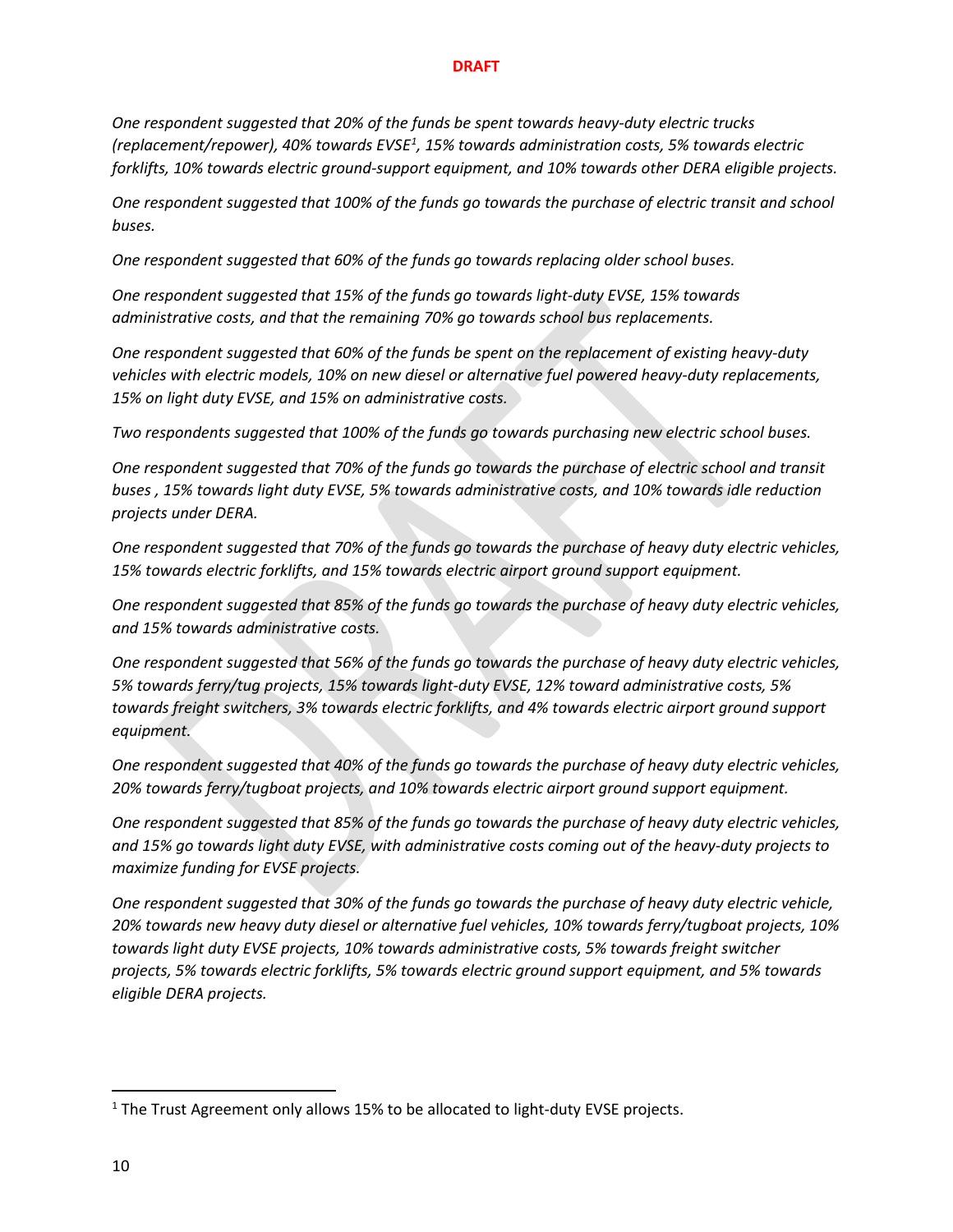*One respondent suggested that 20% of the funds be spent towards heavy-duty electric trucks (replacement/repower), 40% towards EVSE[1](#page-9-0) , 15% towards administration costs, 5% towards electric forklifts, 10% towards electric ground-support equipment, and 10% towards other DERA eligible projects.*

*One respondent suggested that 100% of the funds go towards the purchase of electric transit and school buses.*

*One respondent suggested that 60% of the funds go towards replacing older school buses.*

*One respondent suggested that 15% of the funds go towards light-duty EVSE, 15% towards administrative costs, and that the remaining 70% go towards school bus replacements.*

*One respondent suggested that 60% of the funds be spent on the replacement of existing heavy-duty vehicles with electric models, 10% on new diesel or alternative fuel powered heavy-duty replacements, 15% on light duty EVSE, and 15% on administrative costs.*

*Two respondents suggested that 100% of the funds go towards purchasing new electric school buses.*

*One respondent suggested that 70% of the funds go towards the purchase of electric school and transit buses , 15% towards light duty EVSE, 5% towards administrative costs, and 10% towards idle reduction projects under DERA.*

*One respondent suggested that 70% of the funds go towards the purchase of heavy duty electric vehicles, 15% towards electric forklifts, and 15% towards electric airport ground support equipment.*

*One respondent suggested that 85% of the funds go towards the purchase of heavy duty electric vehicles, and 15% towards administrative costs.*

*One respondent suggested that 56% of the funds go towards the purchase of heavy duty electric vehicles, 5% towards ferry/tug projects, 15% towards light-duty EVSE, 12% toward administrative costs, 5% towards freight switchers, 3% towards electric forklifts, and 4% towards electric airport ground support equipment.*

*One respondent suggested that 40% of the funds go towards the purchase of heavy duty electric vehicles, 20% towards ferry/tugboat projects, and 10% towards electric airport ground support equipment.*

*One respondent suggested that 85% of the funds go towards the purchase of heavy duty electric vehicles, and 15% go towards light duty EVSE, with administrative costs coming out of the heavy-duty projects to maximize funding for EVSE projects.*

*One respondent suggested that 30% of the funds go towards the purchase of heavy duty electric vehicle, 20% towards new heavy duty diesel or alternative fuel vehicles, 10% towards ferry/tugboat projects, 10% towards light duty EVSE projects, 10% towards administrative costs, 5% towards freight switcher projects, 5% towards electric forklifts, 5% towards electric ground support equipment, and 5% towards eligible DERA projects.*

<span id="page-9-0"></span><sup>&</sup>lt;sup>1</sup> The Trust Agreement only allows 15% to be allocated to light-duty EVSE projects.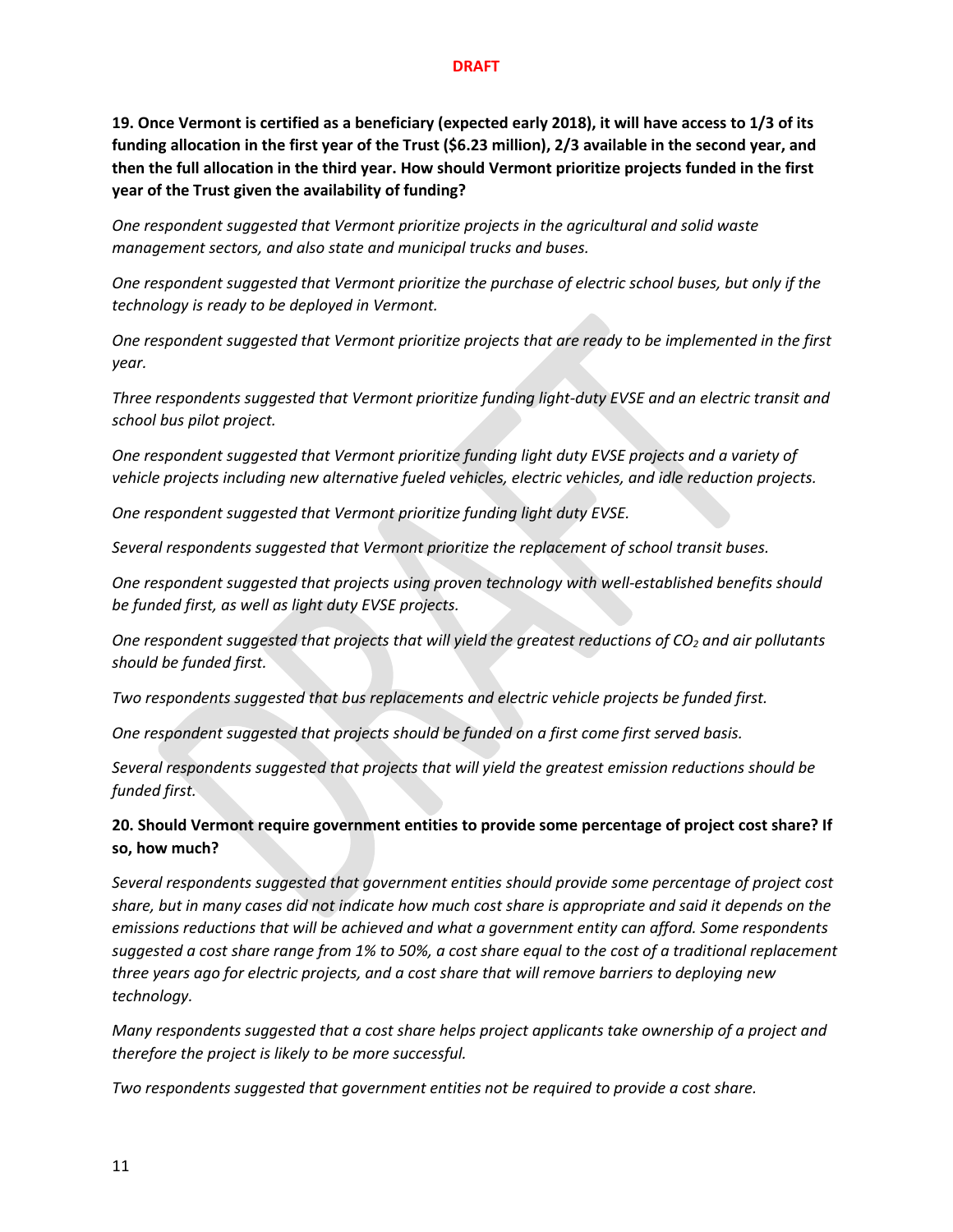**19. Once Vermont is certified as a beneficiary (expected early 2018), it will have access to 1/3 of its funding allocation in the first year of the Trust (\$6.23 million), 2/3 available in the second year, and then the full allocation in the third year. How should Vermont prioritize projects funded in the first year of the Trust given the availability of funding?**

*One respondent suggested that Vermont prioritize projects in the agricultural and solid waste management sectors, and also state and municipal trucks and buses.*

*One respondent suggested that Vermont prioritize the purchase of electric school buses, but only if the technology is ready to be deployed in Vermont.*

*One respondent suggested that Vermont prioritize projects that are ready to be implemented in the first year.*

*Three respondents suggested that Vermont prioritize funding light-duty EVSE and an electric transit and school bus pilot project.*

*One respondent suggested that Vermont prioritize funding light duty EVSE projects and a variety of vehicle projects including new alternative fueled vehicles, electric vehicles, and idle reduction projects.*

*One respondent suggested that Vermont prioritize funding light duty EVSE.*

*Several respondents suggested that Vermont prioritize the replacement of school transit buses.*

*One respondent suggested that projects using proven technology with well-established benefits should be funded first, as well as light duty EVSE projects.*

*One respondent suggested that projects that will yield the greatest reductions of CO2 and air pollutants should be funded first.*

*Two respondents suggested that bus replacements and electric vehicle projects be funded first.*

*One respondent suggested that projects should be funded on a first come first served basis.*

*Several respondents suggested that projects that will yield the greatest emission reductions should be funded first.*

**20. Should Vermont require government entities to provide some percentage of project cost share? If so, how much?**

*Several respondents suggested that government entities should provide some percentage of project cost share, but in many cases did not indicate how much cost share is appropriate and said it depends on the emissions reductions that will be achieved and what a government entity can afford. Some respondents suggested a cost share range from 1% to 50%, a cost share equal to the cost of a traditional replacement three years ago for electric projects, and a cost share that will remove barriers to deploying new technology.*

*Many respondents suggested that a cost share helps project applicants take ownership of a project and therefore the project is likely to be more successful.* 

*Two respondents suggested that government entities not be required to provide a cost share.*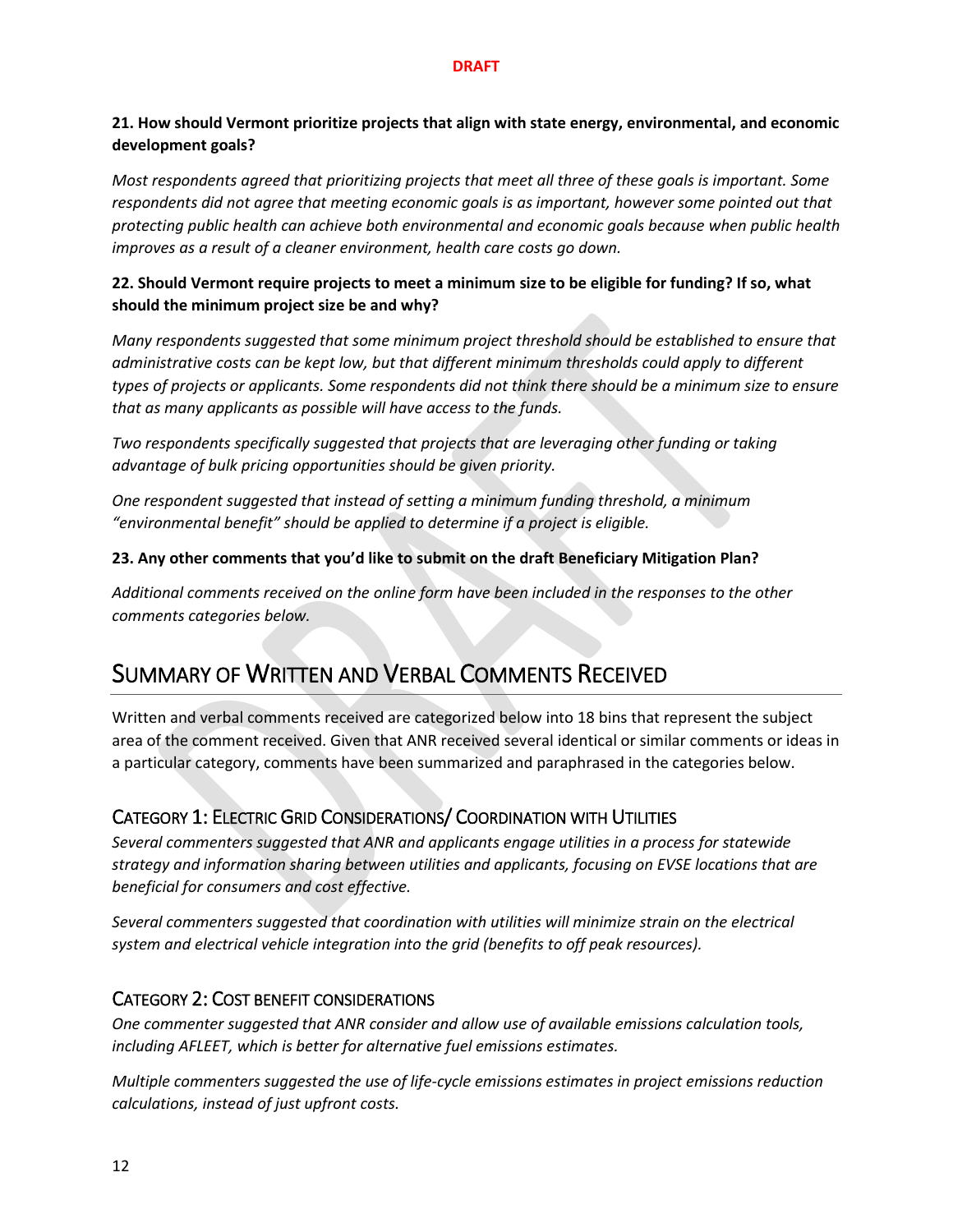#### **21. How should Vermont prioritize projects that align with state energy, environmental, and economic development goals?**

*Most respondents agreed that prioritizing projects that meet all three of these goals is important. Some respondents did not agree that meeting economic goals is as important, however some pointed out that protecting public health can achieve both environmental and economic goals because when public health improves as a result of a cleaner environment, health care costs go down.* 

### **22. Should Vermont require projects to meet a minimum size to be eligible for funding? If so, what should the minimum project size be and why?**

*Many respondents suggested that some minimum project threshold should be established to ensure that administrative costs can be kept low, but that different minimum thresholds could apply to different types of projects or applicants. Some respondents did not think there should be a minimum size to ensure that as many applicants as possible will have access to the funds.*

*Two respondents specifically suggested that projects that are leveraging other funding or taking advantage of bulk pricing opportunities should be given priority.*

*One respondent suggested that instead of setting a minimum funding threshold, a minimum "environmental benefit" should be applied to determine if a project is eligible.*

#### **23. Any other comments that you'd like to submit on the draft Beneficiary Mitigation Plan?**

*Additional comments received on the online form have been included in the responses to the other comments categories below.*

# SUMMARY OF WRITTEN AND VERBAL COMMENTS RECEIVED

Written and verbal comments received are categorized below into 18 bins that represent the subject area of the comment received. Given that ANR received several identical or similar comments or ideas in a particular category, comments have been summarized and paraphrased in the categories below.

## CATEGORY 1: ELECTRIC GRID CONSIDERATIONS/ COORDINATION WITH UTILITIES

*Several commenters suggested that ANR and applicants engage utilities in a process for statewide strategy and information sharing between utilities and applicants, focusing on EVSE locations that are beneficial for consumers and cost effective.*

*Several commenters suggested that coordination with utilities will minimize strain on the electrical system and electrical vehicle integration into the grid (benefits to off peak resources).*

## CATEGORY 2: COST BENEFIT CONSIDERATIONS

*One commenter suggested that ANR consider and allow use of available emissions calculation tools, including AFLEET, which is better for alternative fuel emissions estimates.*

*Multiple commenters suggested the use of life-cycle emissions estimates in project emissions reduction calculations, instead of just upfront costs.*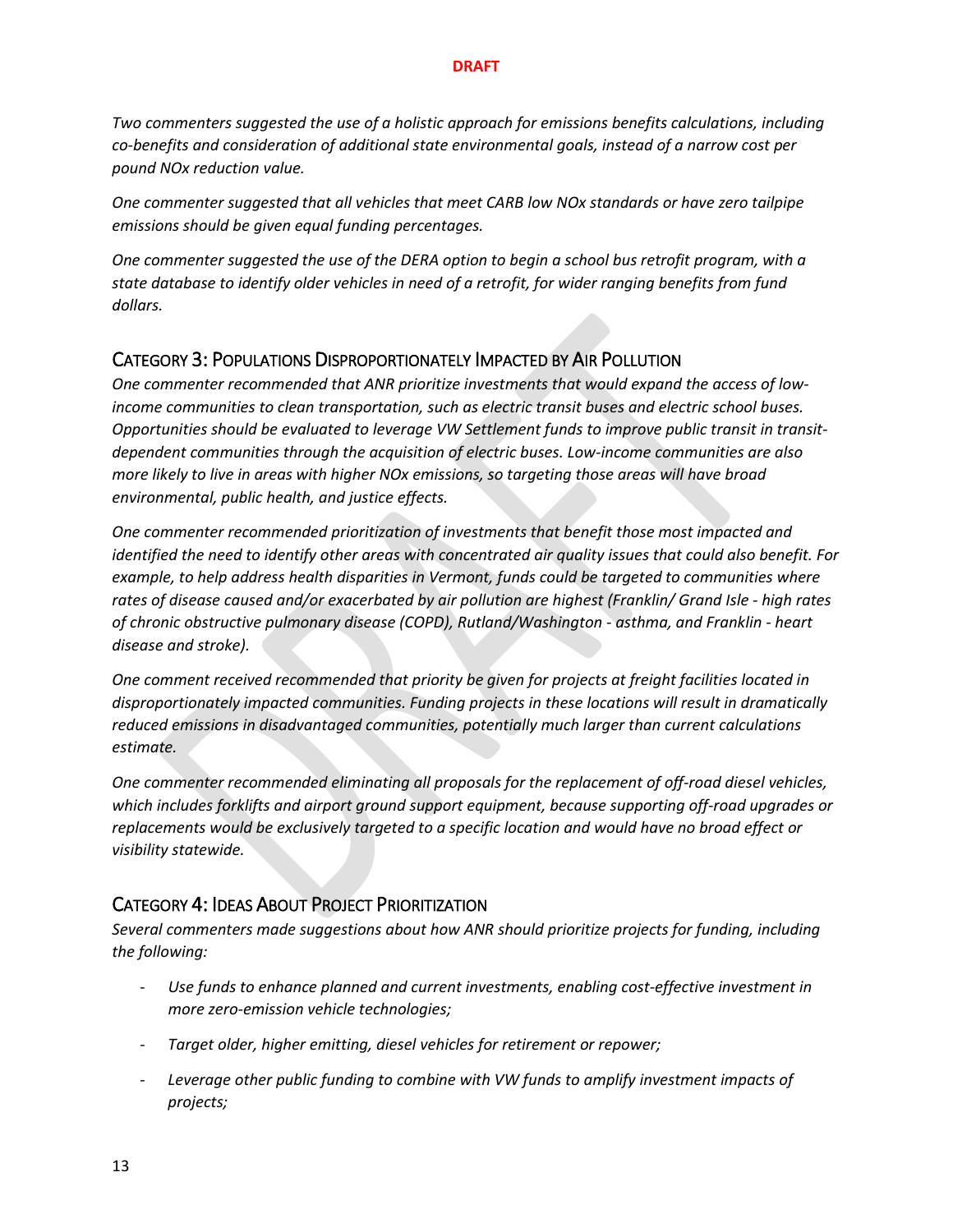*Two commenters suggested the use of a holistic approach for emissions benefits calculations, including co-benefits and consideration of additional state environmental goals, instead of a narrow cost per pound NOx reduction value.* 

*One commenter suggested that all vehicles that meet CARB low NOx standards or have zero tailpipe emissions should be given equal funding percentages.*

*One commenter suggested the use of the DERA option to begin a school bus retrofit program, with a state database to identify older vehicles in need of a retrofit, for wider ranging benefits from fund dollars.*

## CATEGORY 3: POPULATIONS DISPROPORTIONATELY IMPACTED BY AIR POLLUTION

*One commenter recommended that ANR prioritize investments that would expand the access of lowincome communities to clean transportation, such as electric transit buses and electric school buses. Opportunities should be evaluated to leverage VW Settlement funds to improve public transit in transitdependent communities through the acquisition of electric buses. Low-income communities are also more likely to live in areas with higher NOx emissions, so targeting those areas will have broad environmental, public health, and justice effects.* 

*One commenter recommended prioritization of investments that benefit those most impacted and identified the need to identify other areas with concentrated air quality issues that could also benefit. For example, to help address health disparities in Vermont, funds could be targeted to communities where rates of disease caused and/or exacerbated by air pollution are highest (Franklin/ Grand Isle - high rates of chronic obstructive pulmonary disease (COPD), Rutland/Washington - asthma, and Franklin - heart disease and stroke).*

*One comment received recommended that priority be given for projects at freight facilities located in disproportionately impacted communities. Funding projects in these locations will result in dramatically reduced emissions in disadvantaged communities, potentially much larger than current calculations estimate.*

*One commenter recommended eliminating all proposals for the replacement of off-road diesel vehicles, which includes forklifts and airport ground support equipment, because supporting off-road upgrades or replacements would be exclusively targeted to a specific location and would have no broad effect or visibility statewide.*

## CATEGORY 4: IDEAS ABOUT PROJECT PRIORITIZATION

*Several commenters made suggestions about how ANR should prioritize projects for funding, including the following:*

- *Use funds to enhance planned and current investments, enabling cost-effective investment in more zero-emission vehicle technologies;*
- *Target older, higher emitting, diesel vehicles for retirement or repower;*
- *Leverage other public funding to combine with VW funds to amplify investment impacts of projects;*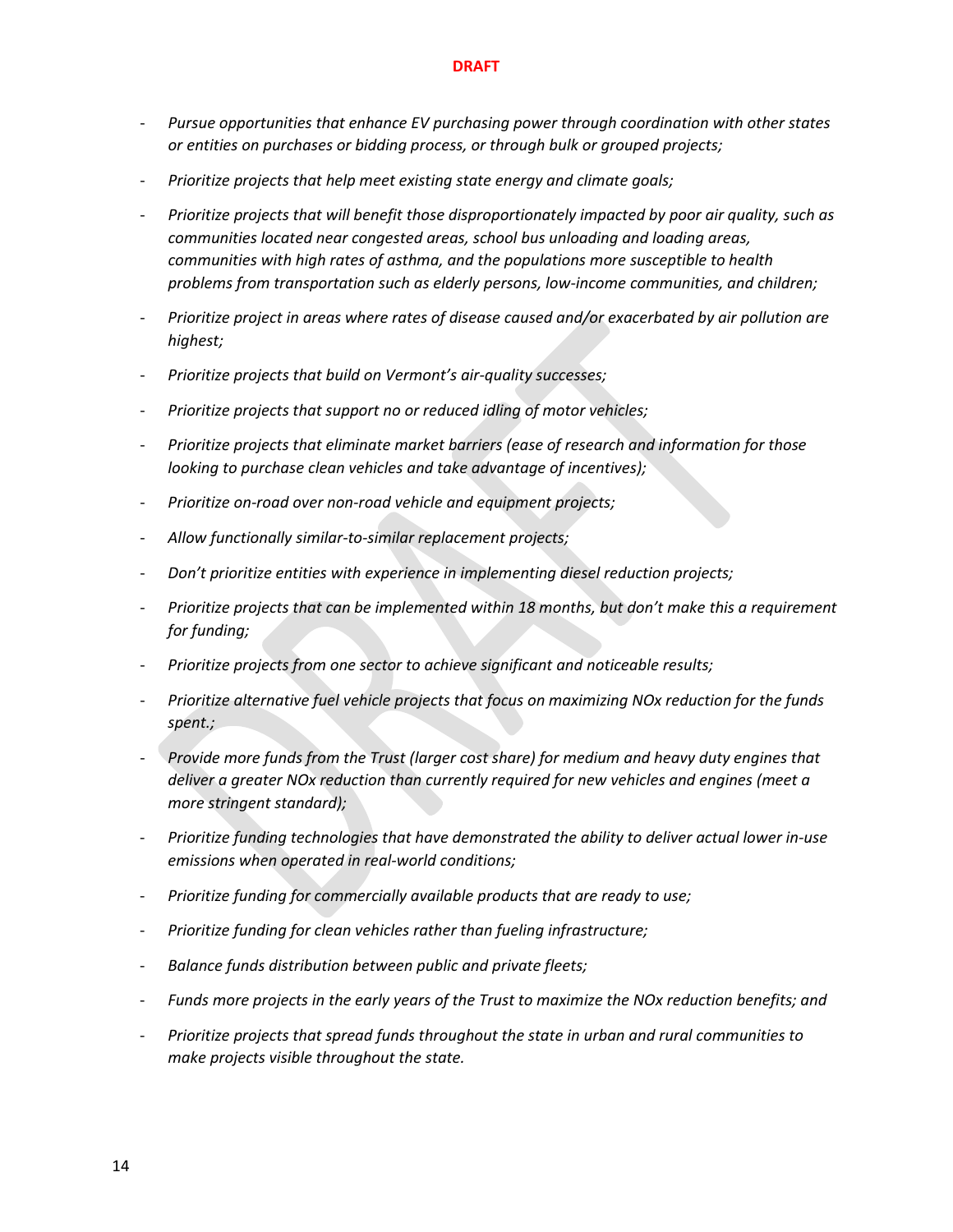- *Pursue opportunities that enhance EV purchasing power through coordination with other states or entities on purchases or bidding process, or through bulk or grouped projects;*
- *Prioritize projects that help meet existing state energy and climate goals;*
- *Prioritize projects that will benefit those disproportionately impacted by poor air quality, such as communities located near congested areas, school bus unloading and loading areas, communities with high rates of asthma, and the populations more susceptible to health problems from transportation such as elderly persons, low-income communities, and children;*
- *Prioritize project in areas where rates of disease caused and/or exacerbated by air pollution are highest;*
- *Prioritize projects that build on Vermont's air-quality successes;*
- *Prioritize projects that support no or reduced idling of motor vehicles;*
- *Prioritize projects that eliminate market barriers (ease of research and information for those looking to purchase clean vehicles and take advantage of incentives);*
- *Prioritize on-road over non-road vehicle and equipment projects;*
- *Allow functionally similar-to-similar replacement projects;*
- *Don't prioritize entities with experience in implementing diesel reduction projects;*
- *Prioritize projects that can be implemented within 18 months, but don't make this a requirement for funding;*
- *Prioritize projects from one sector to achieve significant and noticeable results;*
- *Prioritize alternative fuel vehicle projects that focus on maximizing NOx reduction for the funds spent.;*
- *Provide more funds from the Trust (larger cost share) for medium and heavy duty engines that deliver a greater NOx reduction than currently required for new vehicles and engines (meet a more stringent standard);*
- *Prioritize funding technologies that have demonstrated the ability to deliver actual lower in-use emissions when operated in real-world conditions;*
- *Prioritize funding for commercially available products that are ready to use;*
- *Prioritize funding for clean vehicles rather than fueling infrastructure;*
- *Balance funds distribution between public and private fleets;*
- *Funds more projects in the early years of the Trust to maximize the NOx reduction benefits; and*
- *Prioritize projects that spread funds throughout the state in urban and rural communities to make projects visible throughout the state.*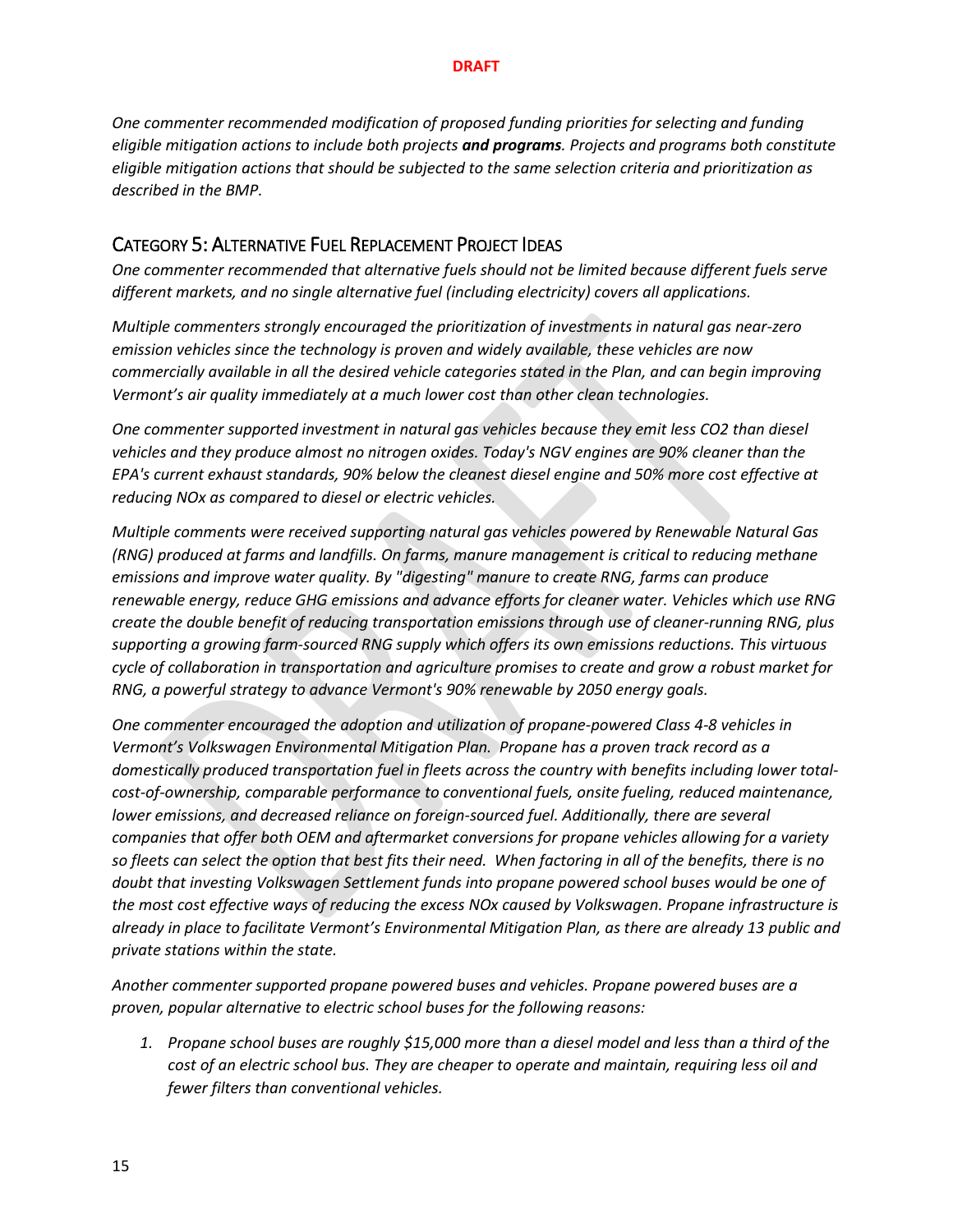*One commenter recommended modification of proposed funding priorities for selecting and funding eligible mitigation actions to include both projects and programs. Projects and programs both constitute eligible mitigation actions that should be subjected to the same selection criteria and prioritization as described in the BMP.*

### CATEGORY 5: ALTERNATIVE FUEL REPLACEMENT PROJECT IDEAS

*One commenter recommended that alternative fuels should not be limited because different fuels serve different markets, and no single alternative fuel (including electricity) covers all applications.*

*Multiple commenters strongly encouraged the prioritization of investments in natural gas near-zero emission vehicles since the technology is proven and widely available, these vehicles are now commercially available in all the desired vehicle categories stated in the Plan, and can begin improving Vermont's air quality immediately at a much lower cost than other clean technologies.*

*One commenter supported investment in natural gas vehicles because they emit less CO2 than diesel vehicles and they produce almost no nitrogen oxides. Today's NGV engines are 90% cleaner than the EPA's current exhaust standards, 90% below the cleanest diesel engine and 50% more cost effective at reducing NOx as compared to diesel or electric vehicles.*

*Multiple comments were received supporting natural gas vehicles powered by Renewable Natural Gas (RNG) produced at farms and landfills. On farms, manure management is critical to reducing methane emissions and improve water quality. By "digesting" manure to create RNG, farms can produce renewable energy, reduce GHG emissions and advance efforts for cleaner water. Vehicles which use RNG create the double benefit of reducing transportation emissions through use of cleaner-running RNG, plus supporting a growing farm-sourced RNG supply which offers its own emissions reductions. This virtuous cycle of collaboration in transportation and agriculture promises to create and grow a robust market for RNG, a powerful strategy to advance Vermont's 90% renewable by 2050 energy goals.*

*One commenter encouraged the adoption and utilization of propane-powered Class 4-8 vehicles in Vermont's Volkswagen Environmental Mitigation Plan. Propane has a proven track record as a domestically produced transportation fuel in fleets across the country with benefits including lower totalcost-of-ownership, comparable performance to conventional fuels, onsite fueling, reduced maintenance, lower emissions, and decreased reliance on foreign-sourced fuel. Additionally, there are several companies that offer both OEM and aftermarket conversions for propane vehicles allowing for a variety so fleets can select the option that best fits their need. When factoring in all of the benefits, there is no doubt that investing Volkswagen Settlement funds into propane powered school buses would be one of the most cost effective ways of reducing the excess NOx caused by Volkswagen. Propane infrastructure is already in place to facilitate Vermont's Environmental Mitigation Plan, as there are already 13 public and private stations within the state.* 

*Another commenter supported propane powered buses and vehicles. Propane powered buses are a proven, popular alternative to electric school buses for the following reasons:*

*1. Propane school buses are roughly \$15,000 more than a diesel model and less than a third of the cost of an electric school bus. They are cheaper to operate and maintain, requiring less oil and fewer filters than conventional vehicles.*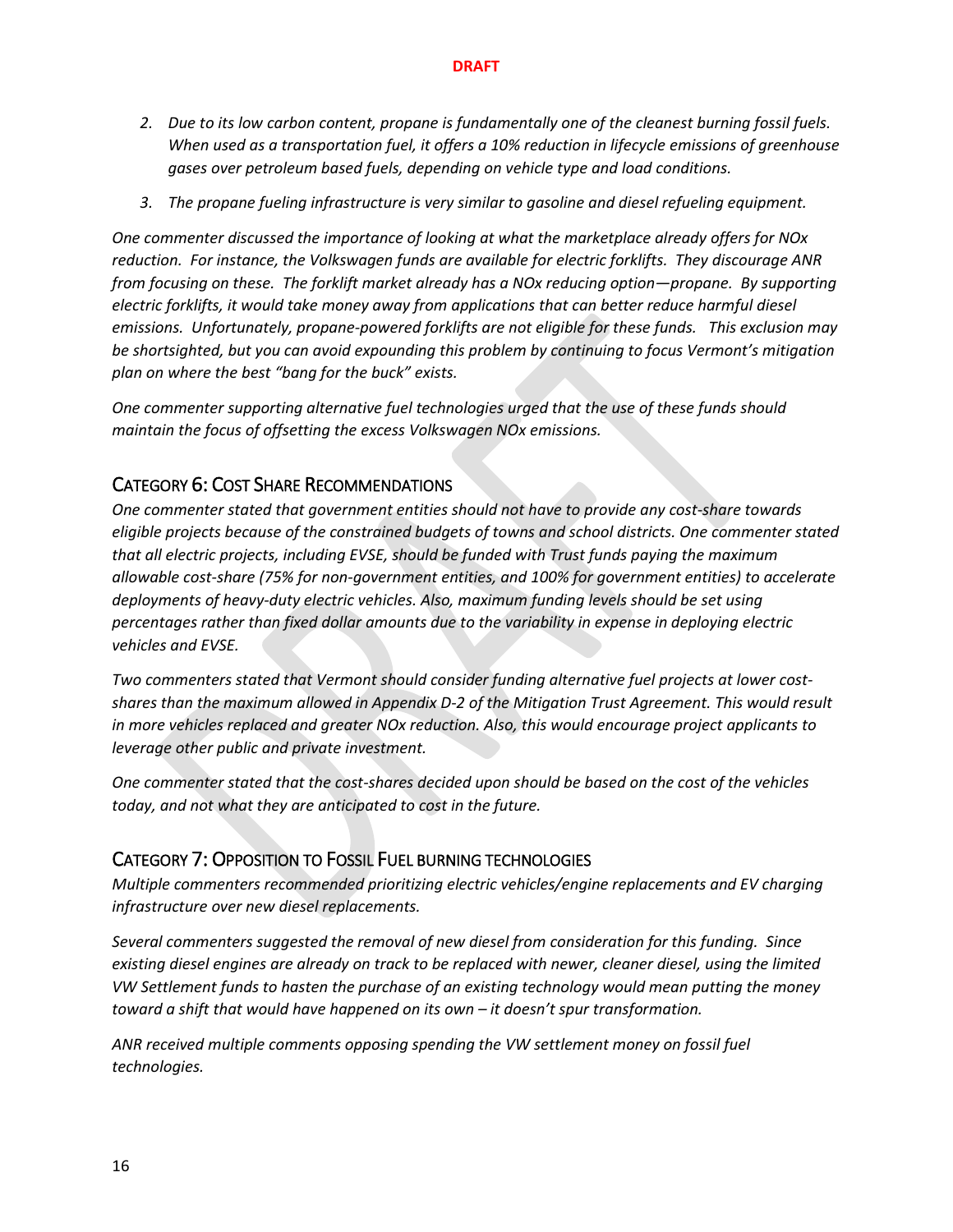- *2. Due to its low carbon content, propane is fundamentally one of the cleanest burning fossil fuels. When used as a transportation fuel, it offers a 10% reduction in lifecycle emissions of greenhouse gases over petroleum based fuels, depending on vehicle type and load conditions.*
- *3. The propane fueling infrastructure is very similar to gasoline and diesel refueling equipment.*

*One commenter discussed the importance of looking at what the marketplace already offers for NOx reduction. For instance, the Volkswagen funds are available for electric forklifts. They discourage ANR from focusing on these. The forklift market already has a NOx reducing option—propane. By supporting electric forklifts, it would take money away from applications that can better reduce harmful diesel emissions. Unfortunately, propane-powered forklifts are not eligible for these funds. This exclusion may be shortsighted, but you can avoid expounding this problem by continuing to focus Vermont's mitigation plan on where the best "bang for the buck" exists.*

*One commenter supporting alternative fuel technologies urged that the use of these funds should maintain the focus of offsetting the excess Volkswagen NOx emissions.* 

## CATEGORY 6: COST SHARE RECOMMENDATIONS

*One commenter stated that government entities should not have to provide any cost-share towards eligible projects because of the constrained budgets of towns and school districts. One commenter stated that all electric projects, including EVSE, should be funded with Trust funds paying the maximum allowable cost-share (75% for non-government entities, and 100% for government entities) to accelerate deployments of heavy-duty electric vehicles. Also, maximum funding levels should be set using percentages rather than fixed dollar amounts due to the variability in expense in deploying electric vehicles and EVSE.* 

*Two commenters stated that Vermont should consider funding alternative fuel projects at lower costshares than the maximum allowed in Appendix D-2 of the Mitigation Trust Agreement. This would result in more vehicles replaced and greater NOx reduction. Also, this would encourage project applicants to leverage other public and private investment.* 

*One commenter stated that the cost-shares decided upon should be based on the cost of the vehicles today, and not what they are anticipated to cost in the future.*

## CATEGORY 7: OPPOSITION TO FOSSIL FUEL BURNING TECHNOLOGIES

*Multiple commenters recommended prioritizing electric vehicles/engine replacements and EV charging infrastructure over new diesel replacements.*

*Several commenters suggested the removal of new diesel from consideration for this funding. Since existing diesel engines are already on track to be replaced with newer, cleaner diesel, using the limited VW Settlement funds to hasten the purchase of an existing technology would mean putting the money toward a shift that would have happened on its own – it doesn't spur transformation.*

*ANR received multiple comments opposing spending the VW settlement money on fossil fuel technologies.*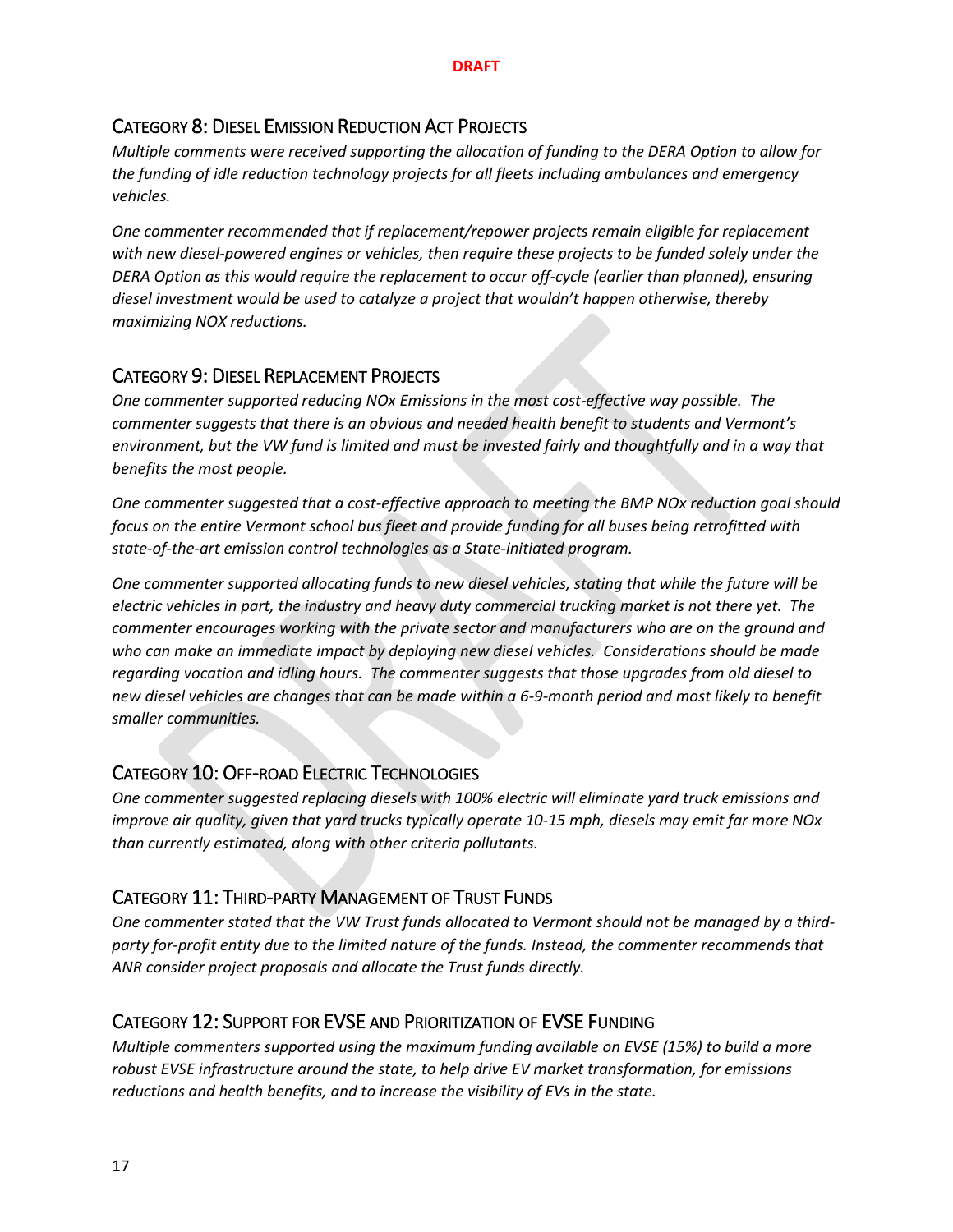## CATEGORY 8: DIESEL EMISSION REDUCTION ACT PROJECTS

*Multiple comments were received supporting the allocation of funding to the DERA Option to allow for the funding of idle reduction technology projects for all fleets including ambulances and emergency vehicles.*

*One commenter recommended that if replacement/repower projects remain eligible for replacement with new diesel-powered engines or vehicles, then require these projects to be funded solely under the DERA Option as this would require the replacement to occur off-cycle (earlier than planned), ensuring diesel investment would be used to catalyze a project that wouldn't happen otherwise, thereby maximizing NOX reductions.*

## CATEGORY 9: DIESEL REPLACEMENT PROJECTS

*One commenter supported reducing NOx Emissions in the most cost-effective way possible. The commenter suggests that there is an obvious and needed health benefit to students and Vermont's environment, but the VW fund is limited and must be invested fairly and thoughtfully and in a way that benefits the most people.* 

*One commenter suggested that a cost-effective approach to meeting the BMP NOx reduction goal should focus on the entire Vermont school bus fleet and provide funding for all buses being retrofitted with state-of-the-art emission control technologies as a State-initiated program.*

*One commenter supported allocating funds to new diesel vehicles, stating that while the future will be electric vehicles in part, the industry and heavy duty commercial trucking market is not there yet. The commenter encourages working with the private sector and manufacturers who are on the ground and who can make an immediate impact by deploying new diesel vehicles. Considerations should be made regarding vocation and idling hours. The commenter suggests that those upgrades from old diesel to new diesel vehicles are changes that can be made within a 6-9-month period and most likely to benefit smaller communities.*

## CATEGORY 10: OFF-ROAD ELECTRIC TECHNOLOGIES

*One commenter suggested replacing diesels with 100% electric will eliminate yard truck emissions and improve air quality, given that yard trucks typically operate 10-15 mph, diesels may emit far more NOx than currently estimated, along with other criteria pollutants.*

## CATEGORY 11: THIRD-PARTY MANAGEMENT OF TRUST FUNDS

*One commenter stated that the VW Trust funds allocated to Vermont should not be managed by a thirdparty for-profit entity due to the limited nature of the funds. Instead, the commenter recommends that ANR consider project proposals and allocate the Trust funds directly.*

## CATEGORY 12: SUPPORT FOR EVSE AND PRIORITIZATION OF EVSE FUNDING

*Multiple commenters supported using the maximum funding available on EVSE (15%) to build a more robust EVSE infrastructure around the state, to help drive EV market transformation, for emissions reductions and health benefits, and to increase the visibility of EVs in the state.*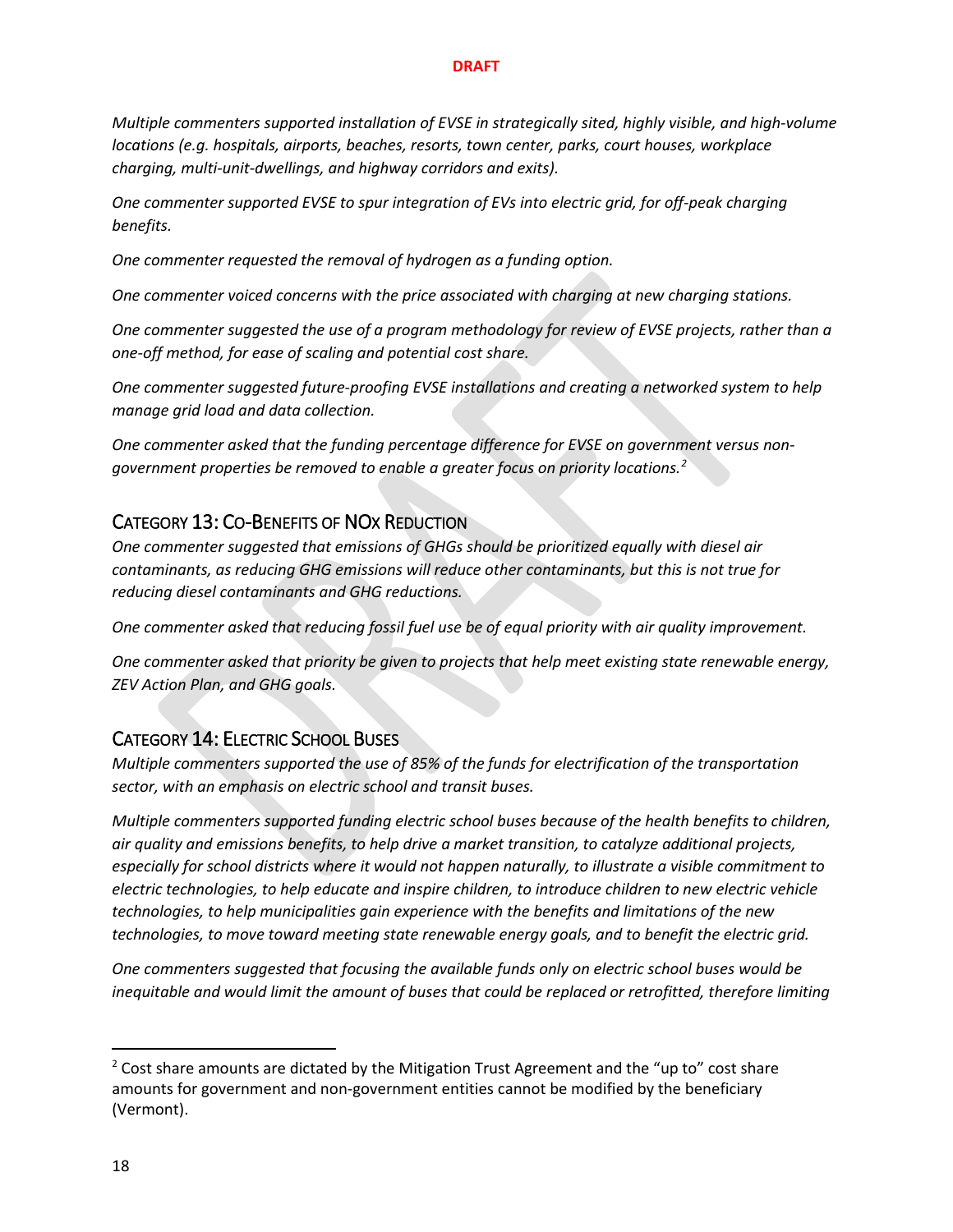*Multiple commenters supported installation of EVSE in strategically sited, highly visible, and high-volume locations (e.g. hospitals, airports, beaches, resorts, town center, parks, court houses, workplace charging, multi-unit-dwellings, and highway corridors and exits).*

*One commenter supported EVSE to spur integration of EVs into electric grid, for off-peak charging benefits.*

*One commenter requested the removal of hydrogen as a funding option.*

*One commenter voiced concerns with the price associated with charging at new charging stations.*

*One commenter suggested the use of a program methodology for review of EVSE projects, rather than a one-off method, for ease of scaling and potential cost share.*

*One commenter suggested future-proofing EVSE installations and creating a networked system to help manage grid load and data collection.*

*One commenter asked that the funding percentage difference for EVSE on government versus nongovernment properties be removed to enable a greater focus on priority locations.[2](#page-17-0)*

## CATEGORY 13: CO-BENEFITS OF NOX REDUCTION

*One commenter suggested that emissions of GHGs should be prioritized equally with diesel air contaminants, as reducing GHG emissions will reduce other contaminants, but this is not true for reducing diesel contaminants and GHG reductions.*

*One commenter asked that reducing fossil fuel use be of equal priority with air quality improvement.*

*One commenter asked that priority be given to projects that help meet existing state renewable energy, ZEV Action Plan, and GHG goals.*

## CATEGORY 14: ELECTRIC SCHOOL BUSES

*Multiple commenters supported the use of 85% of the funds for electrification of the transportation sector, with an emphasis on electric school and transit buses.*

*Multiple commenters supported funding electric school buses because of the health benefits to children, air quality and emissions benefits, to help drive a market transition, to catalyze additional projects, especially for school districts where it would not happen naturally, to illustrate a visible commitment to electric technologies, to help educate and inspire children, to introduce children to new electric vehicle technologies, to help municipalities gain experience with the benefits and limitations of the new technologies, to move toward meeting state renewable energy goals, and to benefit the electric grid.*

*One commenters suggested that focusing the available funds only on electric school buses would be inequitable and would limit the amount of buses that could be replaced or retrofitted, therefore limiting* 

<span id="page-17-0"></span> $2$  Cost share amounts are dictated by the Mitigation Trust Agreement and the "up to" cost share amounts for government and non-government entities cannot be modified by the beneficiary (Vermont).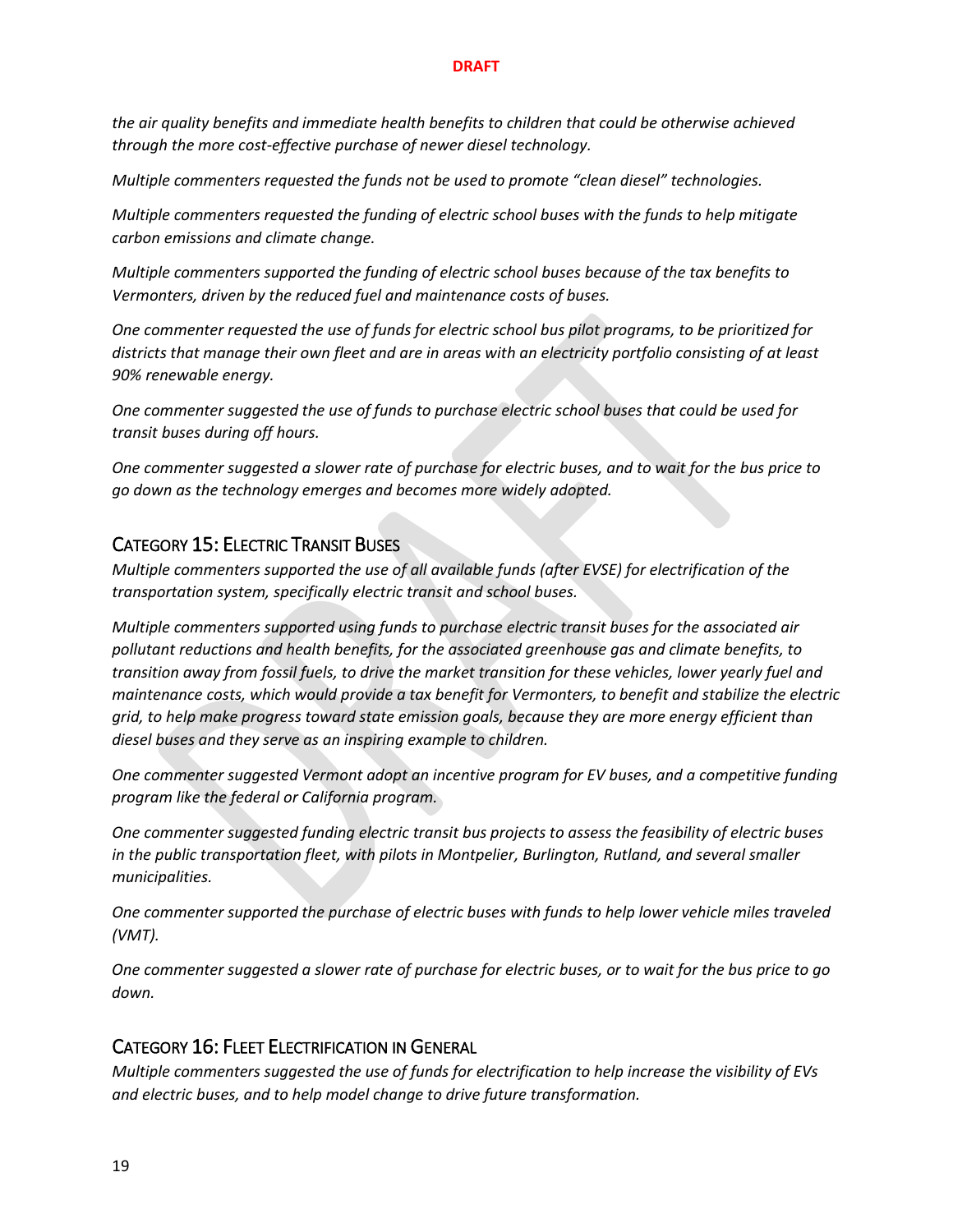*the air quality benefits and immediate health benefits to children that could be otherwise achieved through the more cost-effective purchase of newer diesel technology.* 

*Multiple commenters requested the funds not be used to promote "clean diesel" technologies.*

*Multiple commenters requested the funding of electric school buses with the funds to help mitigate carbon emissions and climate change.*

*Multiple commenters supported the funding of electric school buses because of the tax benefits to Vermonters, driven by the reduced fuel and maintenance costs of buses.*

*One commenter requested the use of funds for electric school bus pilot programs, to be prioritized for districts that manage their own fleet and are in areas with an electricity portfolio consisting of at least 90% renewable energy.*

*One commenter suggested the use of funds to purchase electric school buses that could be used for transit buses during off hours.*

*One commenter suggested a slower rate of purchase for electric buses, and to wait for the bus price to go down as the technology emerges and becomes more widely adopted.*

## CATEGORY 15: ELECTRIC TRANSIT BUSES

*Multiple commenters supported the use of all available funds (after EVSE) for electrification of the transportation system, specifically electric transit and school buses.*

*Multiple commenters supported using funds to purchase electric transit buses for the associated air pollutant reductions and health benefits, for the associated greenhouse gas and climate benefits, to transition away from fossil fuels, to drive the market transition for these vehicles, lower yearly fuel and maintenance costs, which would provide a tax benefit for Vermonters, to benefit and stabilize the electric grid, to help make progress toward state emission goals, because they are more energy efficient than diesel buses and they serve as an inspiring example to children.*

*One commenter suggested Vermont adopt an incentive program for EV buses, and a competitive funding program like the federal or California program.*

*One commenter suggested funding electric transit bus projects to assess the feasibility of electric buses in the public transportation fleet, with pilots in Montpelier, Burlington, Rutland, and several smaller municipalities.*

*One commenter supported the purchase of electric buses with funds to help lower vehicle miles traveled (VMT).*

*One commenter suggested a slower rate of purchase for electric buses, or to wait for the bus price to go down.*

## CATEGORY 16: FLEET ELECTRIFICATION IN GENERAL

*Multiple commenters suggested the use of funds for electrification to help increase the visibility of EVs and electric buses, and to help model change to drive future transformation.*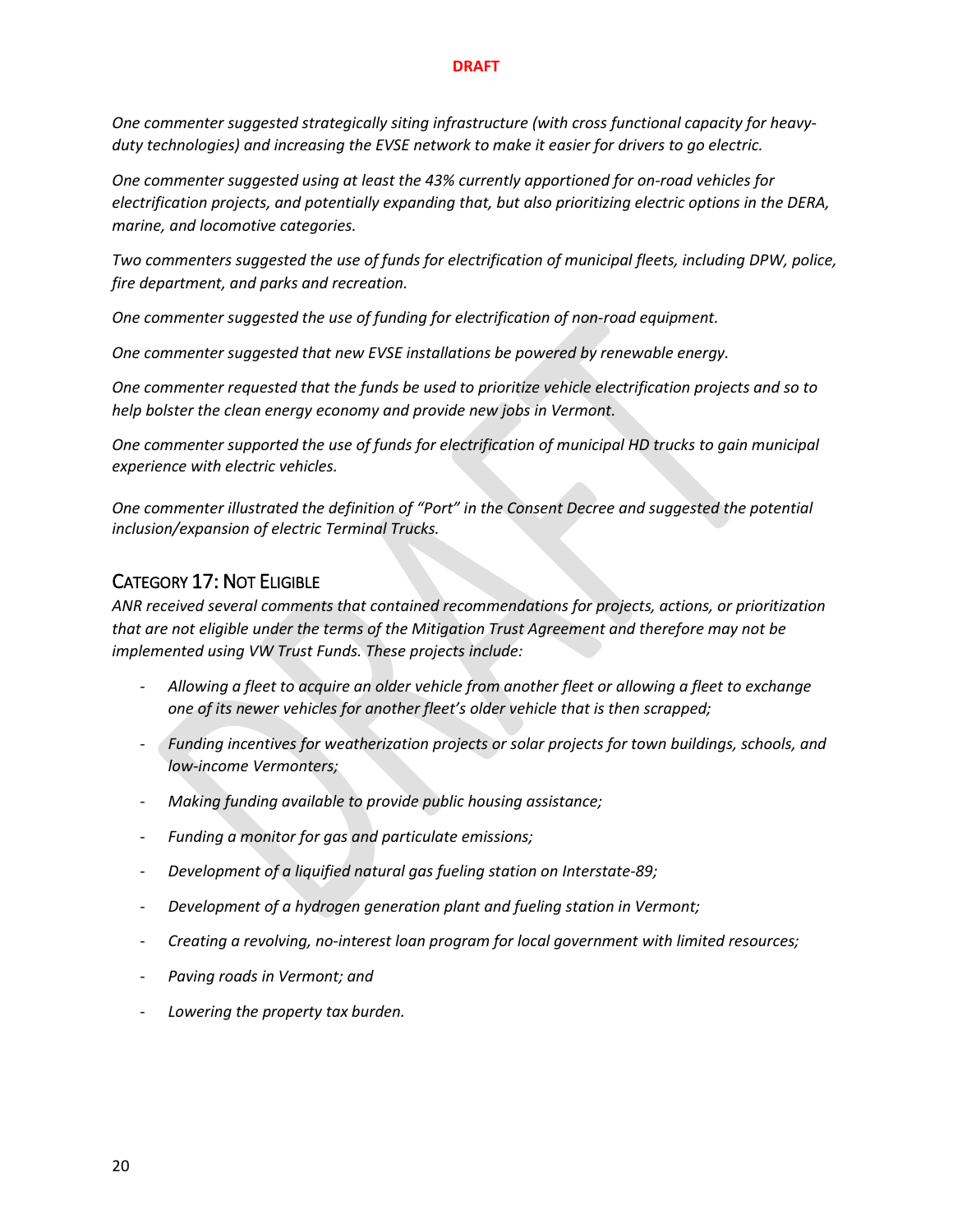*One commenter suggested strategically siting infrastructure (with cross functional capacity for heavyduty technologies) and increasing the EVSE network to make it easier for drivers to go electric.*

*One commenter suggested using at least the 43% currently apportioned for on-road vehicles for electrification projects, and potentially expanding that, but also prioritizing electric options in the DERA, marine, and locomotive categories.*

*Two commenters suggested the use of funds for electrification of municipal fleets, including DPW, police, fire department, and parks and recreation.*

*One commenter suggested the use of funding for electrification of non-road equipment.*

*One commenter suggested that new EVSE installations be powered by renewable energy.*

*One commenter requested that the funds be used to prioritize vehicle electrification projects and so to help bolster the clean energy economy and provide new jobs in Vermont.*

*One commenter supported the use of funds for electrification of municipal HD trucks to gain municipal experience with electric vehicles.*

*One commenter illustrated the definition of "Port" in the Consent Decree and suggested the potential inclusion/expansion of electric Terminal Trucks.*

## CATEGORY 17: NOT ELIGIBLE

*ANR received several comments that contained recommendations for projects, actions, or prioritization that are not eligible under the terms of the Mitigation Trust Agreement and therefore may not be implemented using VW Trust Funds. These projects include:*

- *Allowing a fleet to acquire an older vehicle from another fleet or allowing a fleet to exchange one of its newer vehicles for another fleet's older vehicle that is then scrapped;*
- *Funding incentives for weatherization projects or solar projects for town buildings, schools, and low-income Vermonters;*
- *Making funding available to provide public housing assistance;*
- *Funding a monitor for gas and particulate emissions;*
- *Development of a liquified natural gas fueling station on Interstate-89;*
- *Development of a hydrogen generation plant and fueling station in Vermont;*
- *Creating a revolving, no-interest loan program for local government with limited resources;*
- *Paving roads in Vermont; and*
- *Lowering the property tax burden.*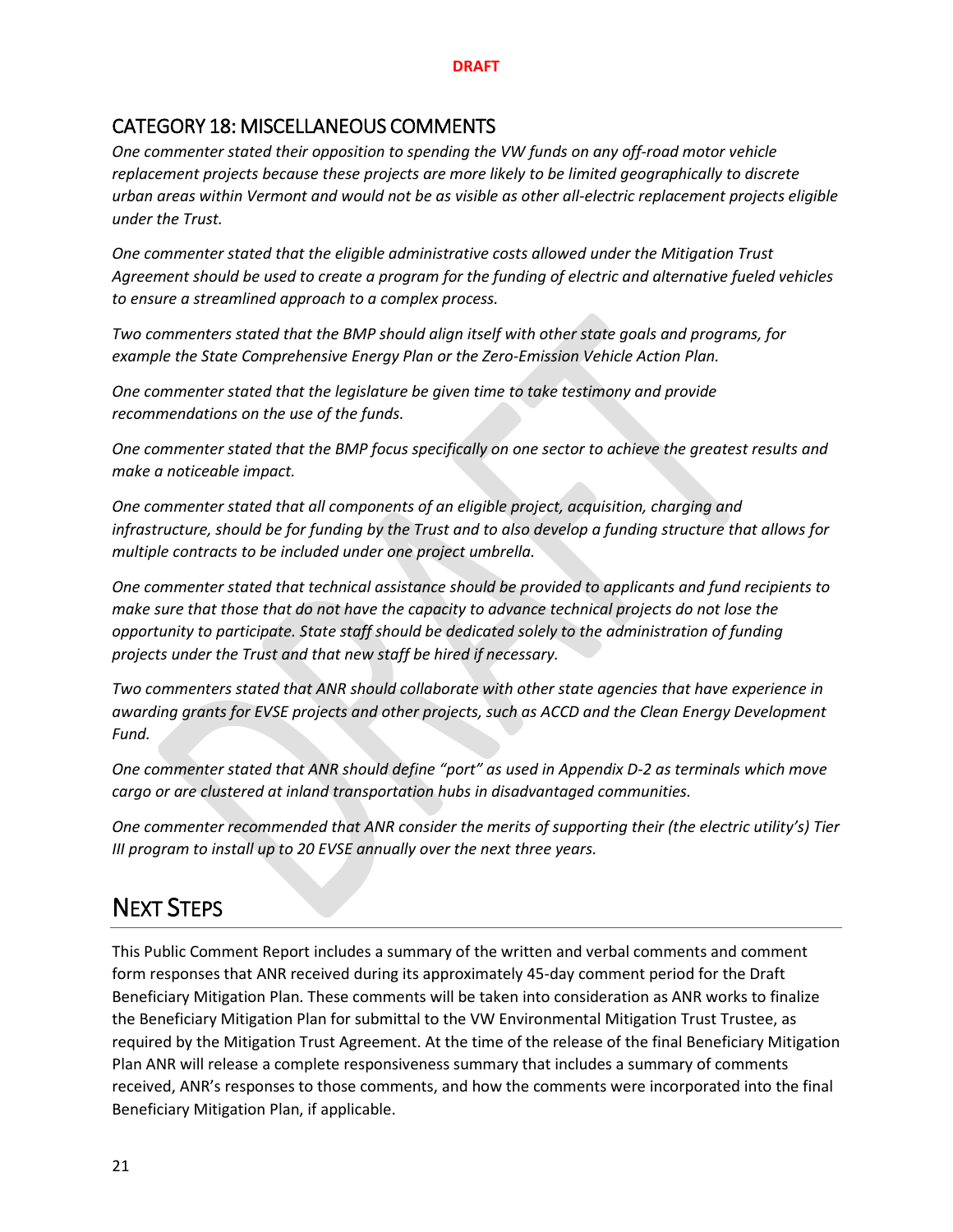## CATEGORY 18: MISCELLANEOUS COMMENTS

*One commenter stated their opposition to spending the VW funds on any off-road motor vehicle replacement projects because these projects are more likely to be limited geographically to discrete urban areas within Vermont and would not be as visible as other all-electric replacement projects eligible under the Trust.*

*One commenter stated that the eligible administrative costs allowed under the Mitigation Trust Agreement should be used to create a program for the funding of electric and alternative fueled vehicles to ensure a streamlined approach to a complex process.*

*Two commenters stated that the BMP should align itself with other state goals and programs, for example the State Comprehensive Energy Plan or the Zero-Emission Vehicle Action Plan.*

*One commenter stated that the legislature be given time to take testimony and provide recommendations on the use of the funds.* 

*One commenter stated that the BMP focus specifically on one sector to achieve the greatest results and make a noticeable impact.*

*One commenter stated that all components of an eligible project, acquisition, charging and infrastructure, should be for funding by the Trust and to also develop a funding structure that allows for multiple contracts to be included under one project umbrella.* 

*One commenter stated that technical assistance should be provided to applicants and fund recipients to make sure that those that do not have the capacity to advance technical projects do not lose the opportunity to participate. State staff should be dedicated solely to the administration of funding projects under the Trust and that new staff be hired if necessary.* 

*Two commenters stated that ANR should collaborate with other state agencies that have experience in awarding grants for EVSE projects and other projects, such as ACCD and the Clean Energy Development Fund.* 

*One commenter stated that ANR should define "port" as used in Appendix D-2 as terminals which move cargo or are clustered at inland transportation hubs in disadvantaged communities.*

*One commenter recommended that ANR consider the merits of supporting their (the electric utility's) Tier III program to install up to 20 EVSE annually over the next three years.*

## NEXT STEPS

This Public Comment Report includes a summary of the written and verbal comments and comment form responses that ANR received during its approximately 45-day comment period for the Draft Beneficiary Mitigation Plan. These comments will be taken into consideration as ANR works to finalize the Beneficiary Mitigation Plan for submittal to the VW Environmental Mitigation Trust Trustee, as required by the Mitigation Trust Agreement. At the time of the release of the final Beneficiary Mitigation Plan ANR will release a complete responsiveness summary that includes a summary of comments received, ANR's responses to those comments, and how the comments were incorporated into the final Beneficiary Mitigation Plan, if applicable.